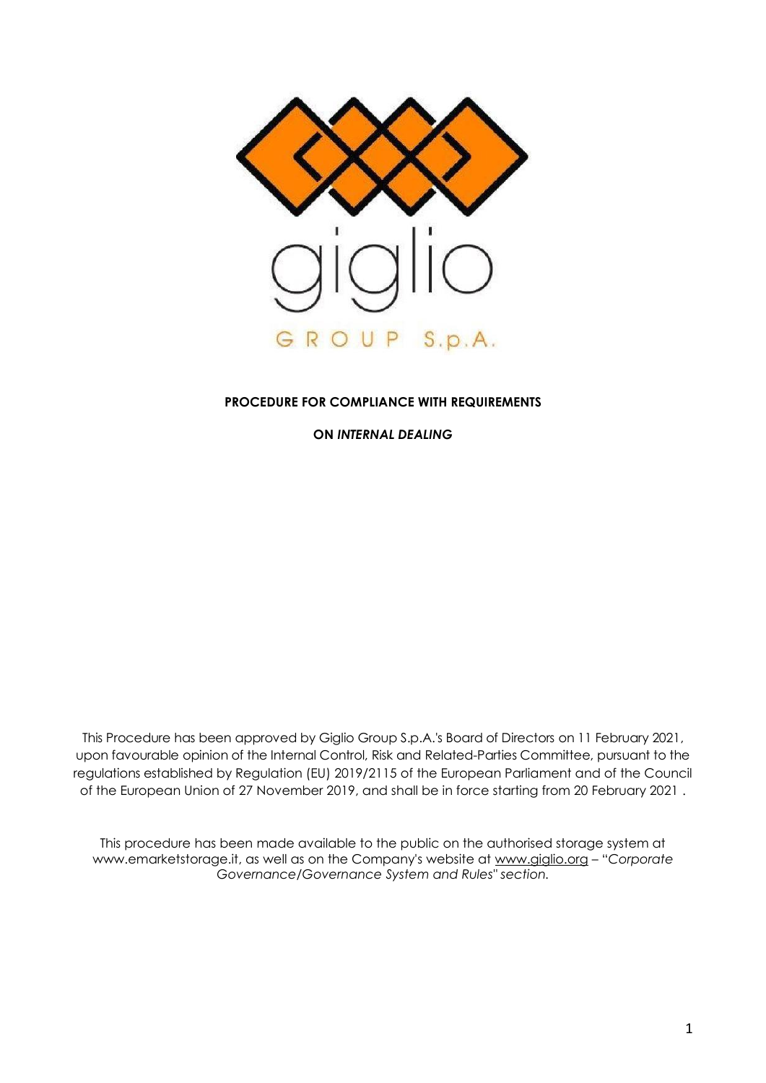

# **PROCEDURE FOR COMPLIANCE WITH REQUIREMENTS**

**ON** *INTERNAL DEALING*

This Procedure has been approved by Giglio Group S.p.A.'s Board of Directors on 11 February 2021, upon favourable opinion of the Internal Control, Risk and Related-Parties Committee, pursuant to the regulations established by Regulation (EU) 2019/2115 of the European Parliament and of the Council of the European Union of 27 November 2019, and shall be in force starting from 20 February 2021 .

This procedure has been made available to the public on the authorised storage system at www.emarketstorage.it, as well as on the Company's website at [www.giglio.org](http://www.giglio.org/) – "*Corporate Governance/Governance System and Rules" section.*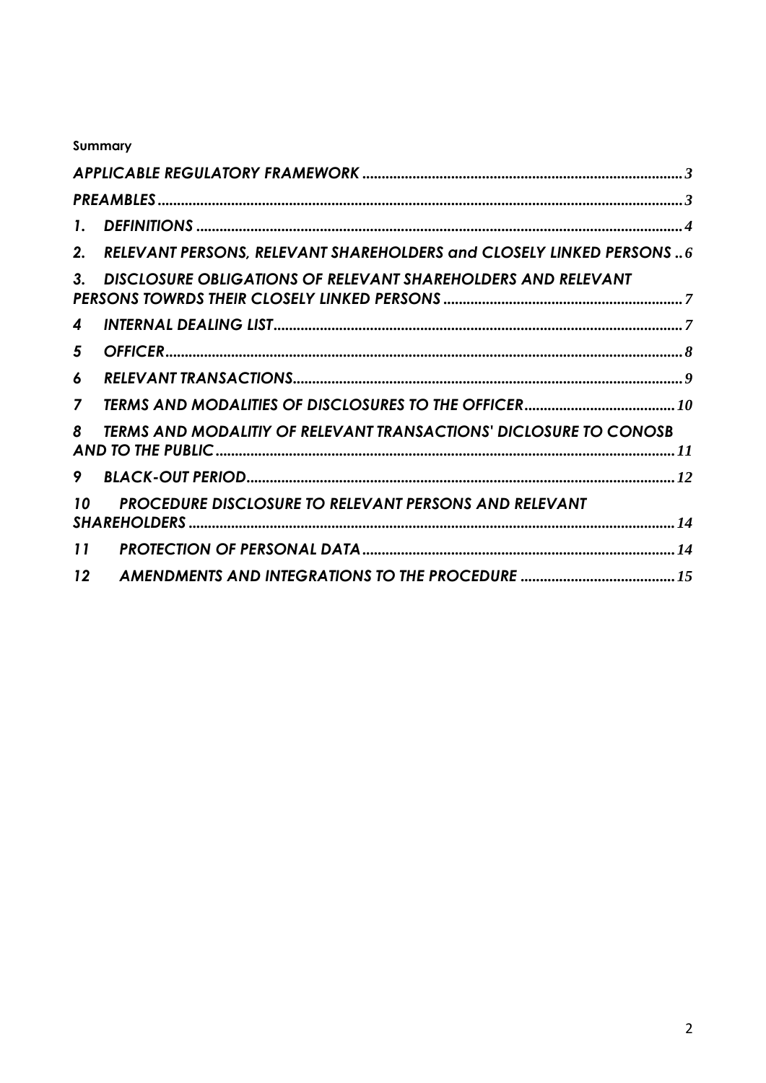| 1.                      |                                                                          |  |
|-------------------------|--------------------------------------------------------------------------|--|
| 2.                      | RELEVANT PERSONS, RELEVANT SHAREHOLDERS and CLOSELY LINKED PERSONS6      |  |
| 3.                      | <b>DISCLOSURE OBLIGATIONS OF RELEVANT SHAREHOLDERS AND RELEVANT</b>      |  |
| 4                       |                                                                          |  |
| 5                       |                                                                          |  |
| 6                       |                                                                          |  |
| $\overline{\mathbf{z}}$ |                                                                          |  |
| 8                       | <b>TERMS AND MODALITIY OF RELEVANT TRANSACTIONS' DICLOSURE TO CONOSB</b> |  |
| 9                       |                                                                          |  |
| 10                      | <b>PROCEDURE DISCLOSURE TO RELEVANT PERSONS AND RELEVANT</b>             |  |
| 11                      |                                                                          |  |
| $12 \overline{ }$       |                                                                          |  |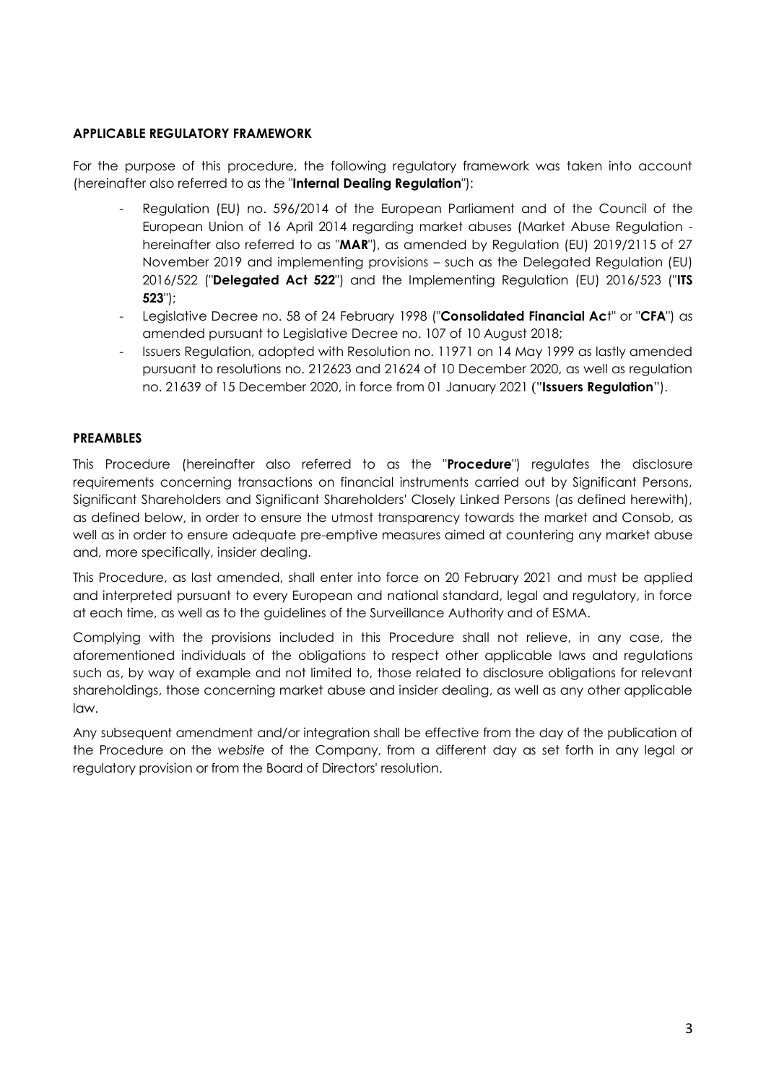## <span id="page-2-0"></span>**APPLICABLE REGULATORY FRAMEWORK**

For the purpose of this procedure, the following regulatory framework was taken into account (hereinafter also referred to as the "**Internal Dealing Regulation**"):

- Regulation (EU) no. 596/2014 of the European Parliament and of the Council of the European Union of 16 April 2014 regarding market abuses (Market Abuse Regulation hereinafter also referred to as "**MAR**"), as amended by Regulation (EU) 2019/2115 of 27 November 2019 and implementing provisions – such as the Delegated Regulation (EU) 2016/522 ("**Delegated Act 522**") and the Implementing Regulation (EU) 2016/523 ("**ITS 523**");
- Legislative Decree no. 58 of 24 February 1998 ("**Consolidated Financial Ac**t" or "**CFA**") as amended pursuant to Legislative Decree no. 107 of 10 August 2018;
- Issuers Regulation, adopted with Resolution no. 11971 on 14 May 1999 as lastly amended pursuant to resolutions no. 212623 and 21624 of 10 December 2020, as well as regulation no. 21639 of 15 December 2020, in force from 01 January 2021 ("**Issuers Regulation**").

## <span id="page-2-1"></span>**PREAMBLES**

This Procedure (hereinafter also referred to as the "**Procedure**") regulates the disclosure requirements concerning transactions on financial instruments carried out by Significant Persons, Significant Shareholders and Significant Shareholders' Closely Linked Persons (as defined herewith), as defined below, in order to ensure the utmost transparency towards the market and Consob, as well as in order to ensure adequate pre-emptive measures aimed at countering any market abuse and, more specifically, insider dealing.

This Procedure, as last amended, shall enter into force on 20 February 2021 and must be applied and interpreted pursuant to every European and national standard, legal and regulatory, in force at each time, as well as to the guidelines of the Surveillance Authority and of ESMA.

Complying with the provisions included in this Procedure shall not relieve, in any case, the aforementioned individuals of the obligations to respect other applicable laws and regulations such as, by way of example and not limited to, those related to disclosure obligations for relevant shareholdings, those concerning market abuse and insider dealing, as well as any other applicable law.

Any subsequent amendment and/or integration shall be effective from the day of the publication of the Procedure on the *website* of the Company, from a different day as set forth in any legal or regulatory provision or from the Board of Directors' resolution.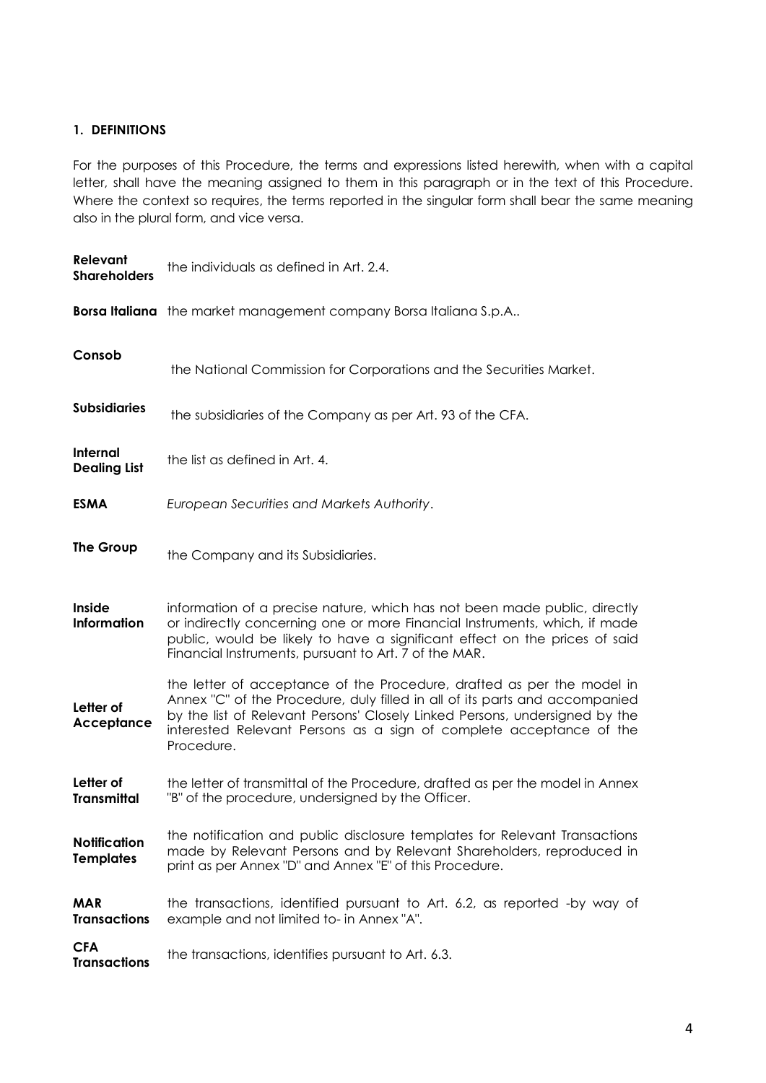# <span id="page-3-0"></span>**1. DEFINITIONS**

For the purposes of this Procedure, the terms and expressions listed herewith, when with a capital letter, shall have the meaning assigned to them in this paragraph or in the text of this Procedure. Where the context so requires, the terms reported in the singular form shall bear the same meaning also in the plural form, and vice versa.

| Relevant<br>the individuals as defined in Art. 2.4.<br><b>Shareholders</b> |                                                                                                                                                                                                                                                                                                                           |  |
|----------------------------------------------------------------------------|---------------------------------------------------------------------------------------------------------------------------------------------------------------------------------------------------------------------------------------------------------------------------------------------------------------------------|--|
|                                                                            | <b>Borsa Italiana</b> the market management company Borsa Italiana S.p.A                                                                                                                                                                                                                                                  |  |
| Consob                                                                     | the National Commission for Corporations and the Securities Market.                                                                                                                                                                                                                                                       |  |
| <b>Subsidiaries</b>                                                        | the subsidiaries of the Company as per Art. 93 of the CFA.                                                                                                                                                                                                                                                                |  |
| Internal<br><b>Dealing List</b>                                            | the list as defined in Art. 4.                                                                                                                                                                                                                                                                                            |  |
| <b>ESMA</b>                                                                | European Securities and Markets Authority.                                                                                                                                                                                                                                                                                |  |
| The Group                                                                  | the Company and its Subsidiaries.                                                                                                                                                                                                                                                                                         |  |
| <b>Inside</b><br><b>Information</b>                                        | information of a precise nature, which has not been made public, directly<br>or indirectly concerning one or more Financial Instruments, which, if made<br>public, would be likely to have a significant effect on the prices of said<br>Financial Instruments, pursuant to Art. 7 of the MAR.                            |  |
| Letter of<br>Acceptance                                                    | the letter of acceptance of the Procedure, drafted as per the model in<br>Annex "C" of the Procedure, duly filled in all of its parts and accompanied<br>by the list of Relevant Persons' Closely Linked Persons, undersigned by the<br>interested Relevant Persons as a sign of complete acceptance of the<br>Procedure. |  |
| Letter of<br><b>Transmittal</b>                                            | the letter of transmittal of the Procedure, drafted as per the model in Annex<br>"B" of the procedure, undersigned by the Officer.                                                                                                                                                                                        |  |
| <b>Notification</b><br><b>Templates</b>                                    | the notification and public disclosure templates for Relevant Transactions<br>made by Relevant Persons and by Relevant Shareholders, reproduced in<br>print as per Annex "D" and Annex "E" of this Procedure.                                                                                                             |  |
| <b>MAR</b><br><b>Transactions</b>                                          | the transactions, identified pursuant to Art. 6.2, as reported -by way of<br>example and not limited to- in Annex "A".                                                                                                                                                                                                    |  |
| <b>CFA</b><br><b>Transactions</b>                                          | the transactions, identifies pursuant to Art. 6.3.                                                                                                                                                                                                                                                                        |  |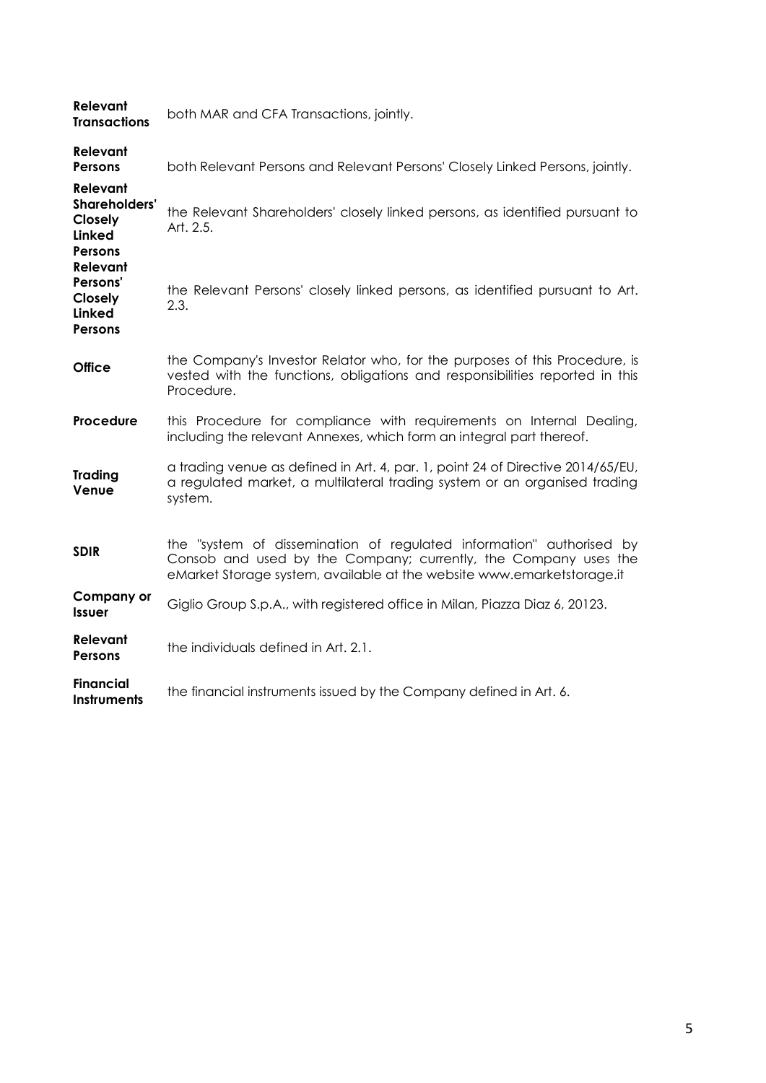| Relevant<br><b>Transactions</b>                                  | both MAR and CFA Transactions, jointly.                                                                                                                                                                           |  |  |  |
|------------------------------------------------------------------|-------------------------------------------------------------------------------------------------------------------------------------------------------------------------------------------------------------------|--|--|--|
| Relevant<br><b>Persons</b>                                       | both Relevant Persons and Relevant Persons' Closely Linked Persons, jointly.                                                                                                                                      |  |  |  |
| Relevant<br>Shareholders'<br>Closely<br><b>Linked</b><br>Persons | the Relevant Shareholders' closely linked persons, as identified pursuant to<br>Art. 2.5.                                                                                                                         |  |  |  |
| Relevant<br>Persons'<br>Closely<br>Linked<br>Persons             | the Relevant Persons' closely linked persons, as identified pursuant to Art.<br>2.3.                                                                                                                              |  |  |  |
| <b>Office</b>                                                    | the Company's Investor Relator who, for the purposes of this Procedure, is<br>vested with the functions, obligations and responsibilities reported in this<br>Procedure.                                          |  |  |  |
| Procedure                                                        | this Procedure for compliance with requirements on Internal Dealing,<br>including the relevant Annexes, which form an integral part thereof.                                                                      |  |  |  |
| <b>Trading</b><br>Venue                                          | a trading venue as defined in Art. 4, par. 1, point 24 of Directive 2014/65/EU,<br>a regulated market, a multilateral trading system or an organised trading<br>system.                                           |  |  |  |
| <b>SDIR</b>                                                      | the "system of dissemination of regulated information" authorised by<br>Consob and used by the Company; currently, the Company uses the<br>eMarket Storage system, available at the website www.emarketstorage.it |  |  |  |
| Company or<br><b>Issuer</b>                                      | Giglio Group S.p.A., with registered office in Milan, Piazza Diaz 6, 20123.                                                                                                                                       |  |  |  |
| Relevant<br><b>Persons</b>                                       | the individuals defined in Art. 2.1.                                                                                                                                                                              |  |  |  |
| <b>Financial</b><br><b>Instruments</b>                           | the financial instruments issued by the Company defined in Art. 6.                                                                                                                                                |  |  |  |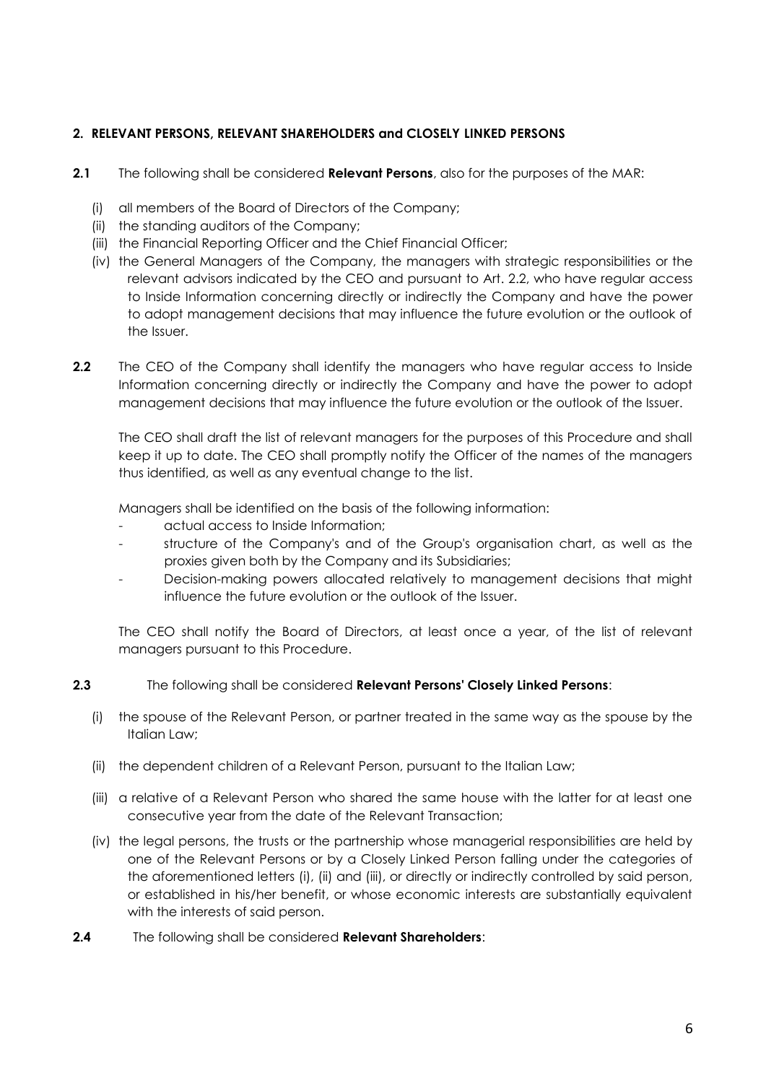# <span id="page-5-0"></span>**2. RELEVANT PERSONS, RELEVANT SHAREHOLDERS and CLOSELY LINKED PERSONS**

- **2.1** The following shall be considered **Relevant Persons**, also for the purposes of the MAR:
	- (i) all members of the Board of Directors of the Company;
	- (ii) the standing auditors of the Company;
	- (iii) the Financial Reporting Officer and the Chief Financial Officer;
	- (iv) the General Managers of the Company, the managers with strategic responsibilities or the relevant advisors indicated by the CEO and pursuant to Art. 2.2, who have regular access to Inside Information concerning directly or indirectly the Company and have the power to adopt management decisions that may influence the future evolution or the outlook of the Issuer.
- **2.2** The CEO of the Company shall identify the managers who have regular access to Inside Information concerning directly or indirectly the Company and have the power to adopt management decisions that may influence the future evolution or the outlook of the Issuer.

The CEO shall draft the list of relevant managers for the purposes of this Procedure and shall keep it up to date. The CEO shall promptly notify the Officer of the names of the managers thus identified, as well as any eventual change to the list.

Managers shall be identified on the basis of the following information:

- actual access to Inside Information;
- structure of the Company's and of the Group's organisation chart, as well as the proxies given both by the Company and its Subsidiaries;
- Decision-making powers allocated relatively to management decisions that might influence the future evolution or the outlook of the Issuer.

The CEO shall notify the Board of Directors, at least once a year, of the list of relevant managers pursuant to this Procedure.

## **2.3** The following shall be considered **Relevant Persons' Closely Linked Persons**:

- (i) the spouse of the Relevant Person, or partner treated in the same way as the spouse by the Italian Law;
- (ii) the dependent children of a Relevant Person, pursuant to the Italian Law;
- (iii) a relative of a Relevant Person who shared the same house with the latter for at least one consecutive year from the date of the Relevant Transaction;
- (iv) the legal persons, the trusts or the partnership whose managerial responsibilities are held by one of the Relevant Persons or by a Closely Linked Person falling under the categories of the aforementioned letters (i), (ii) and (iii), or directly or indirectly controlled by said person, or established in his/her benefit, or whose economic interests are substantially equivalent with the interests of said person.
- **2.4** The following shall be considered **Relevant Shareholders**: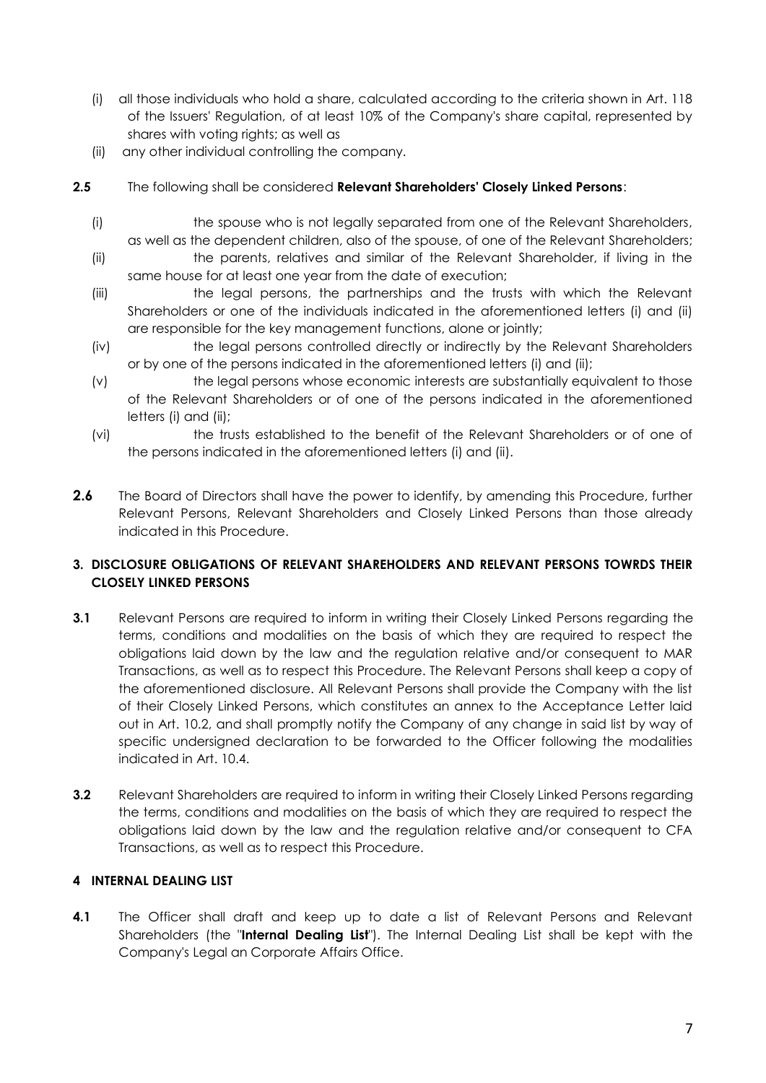- (i) all those individuals who hold a share, calculated according to the criteria shown in Art. 118 of the Issuers' Regulation, of at least 10% of the Company's share capital, represented by shares with voting rights; as well as
- (ii) any other individual controlling the company.
- **2.5** The following shall be considered **Relevant Shareholders' Closely Linked Persons**:
	- (i) the spouse who is not legally separated from one of the Relevant Shareholders, as well as the dependent children, also of the spouse, of one of the Relevant Shareholders;
	- (ii) the parents, relatives and similar of the Relevant Shareholder, if living in the same house for at least one year from the date of execution;
	- (iii) the legal persons, the partnerships and the trusts with which the Relevant Shareholders or one of the individuals indicated in the aforementioned letters (i) and (ii) are responsible for the key management functions, alone or jointly;
	- (iv) the legal persons controlled directly or indirectly by the Relevant Shareholders or by one of the persons indicated in the aforementioned letters (i) and (ii);
	- (v) the legal persons whose economic interests are substantially equivalent to those of the Relevant Shareholders or of one of the persons indicated in the aforementioned letters (i) and (ii);
	- (vi) the trusts established to the benefit of the Relevant Shareholders or of one of the persons indicated in the aforementioned letters (i) and (ii).
- **2.6** The Board of Directors shall have the power to identify, by amending this Procedure, further Relevant Persons, Relevant Shareholders and Closely Linked Persons than those already indicated in this Procedure.

# <span id="page-6-0"></span>**3. DISCLOSURE OBLIGATIONS OF RELEVANT SHAREHOLDERS AND RELEVANT PERSONS TOWRDS THEIR CLOSELY LINKED PERSONS**

- **3.1** Relevant Persons are required to inform in writing their Closely Linked Persons regarding the terms, conditions and modalities on the basis of which they are required to respect the obligations laid down by the law and the regulation relative and/or consequent to MAR Transactions, as well as to respect this Procedure. The Relevant Persons shall keep a copy of the aforementioned disclosure. All Relevant Persons shall provide the Company with the list of their Closely Linked Persons, which constitutes an annex to the Acceptance Letter laid out in Art. 10.2, and shall promptly notify the Company of any change in said list by way of specific undersigned declaration to be forwarded to the Officer following the modalities indicated in Art. 10.4.
- **3.2** Relevant Shareholders are required to inform in writing their Closely Linked Persons regarding the terms, conditions and modalities on the basis of which they are required to respect the obligations laid down by the law and the regulation relative and/or consequent to CFA Transactions, as well as to respect this Procedure.

# <span id="page-6-1"></span>**4 INTERNAL DEALING LIST**

**4.1** The Officer shall draft and keep up to date a list of Relevant Persons and Relevant Shareholders (the "**Internal Dealing List**"). The Internal Dealing List shall be kept with the Company's Legal an Corporate Affairs Office.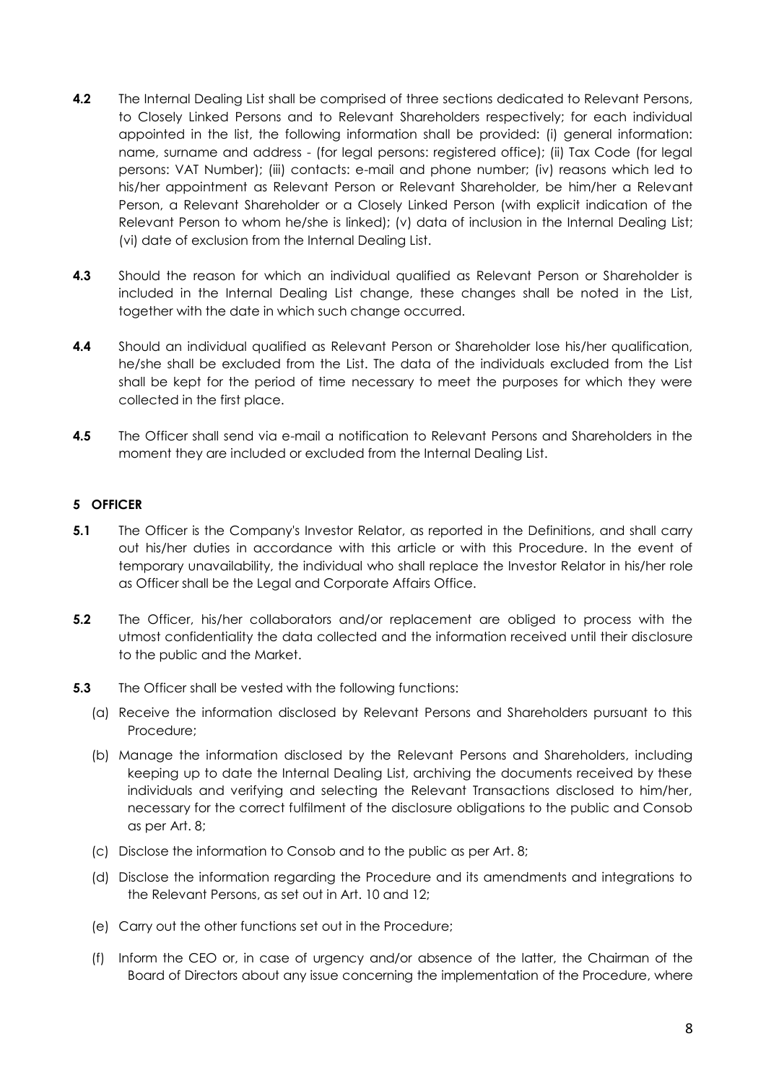- **4.2** The Internal Dealing List shall be comprised of three sections dedicated to Relevant Persons, to Closely Linked Persons and to Relevant Shareholders respectively; for each individual appointed in the list, the following information shall be provided: (i) general information: name, surname and address - (for legal persons: registered office); (ii) Tax Code (for legal persons: VAT Number); (iii) contacts: e-mail and phone number; (iv) reasons which led to his/her appointment as Relevant Person or Relevant Shareholder, be him/her a Relevant Person, a Relevant Shareholder or a Closely Linked Person (with explicit indication of the Relevant Person to whom he/she is linked); (v) data of inclusion in the Internal Dealing List; (vi) date of exclusion from the Internal Dealing List.
- **4.3** Should the reason for which an individual qualified as Relevant Person or Shareholder is included in the Internal Dealing List change, these changes shall be noted in the List, together with the date in which such change occurred.
- **4.4** Should an individual qualified as Relevant Person or Shareholder lose his/her qualification, he/she shall be excluded from the List. The data of the individuals excluded from the List shall be kept for the period of time necessary to meet the purposes for which they were collected in the first place.
- **4.5** The Officer shall send via e-mail a notification to Relevant Persons and Shareholders in the moment they are included or excluded from the Internal Dealing List.

## <span id="page-7-0"></span>**5 OFFICER**

- **5.1** The Officer is the Company's Investor Relator, as reported in the Definitions, and shall carry out his/her duties in accordance with this article or with this Procedure. In the event of temporary unavailability, the individual who shall replace the Investor Relator in his/her role as Officer shall be the Legal and Corporate Affairs Office.
- **5.2** The Officer, his/her collaborators and/or replacement are obliged to process with the utmost confidentiality the data collected and the information received until their disclosure to the public and the Market.
- **5.3** The Officer shall be vested with the following functions:
	- (a) Receive the information disclosed by Relevant Persons and Shareholders pursuant to this Procedure;
	- (b) Manage the information disclosed by the Relevant Persons and Shareholders, including keeping up to date the Internal Dealing List, archiving the documents received by these individuals and verifying and selecting the Relevant Transactions disclosed to him/her, necessary for the correct fulfilment of the disclosure obligations to the public and Consob as per Art. 8;
	- (c) Disclose the information to Consob and to the public as per Art. 8;
	- (d) Disclose the information regarding the Procedure and its amendments and integrations to the Relevant Persons, as set out in Art. 10 and 12;
	- (e) Carry out the other functions set out in the Procedure;
	- (f) Inform the CEO or, in case of urgency and/or absence of the latter, the Chairman of the Board of Directors about any issue concerning the implementation of the Procedure, where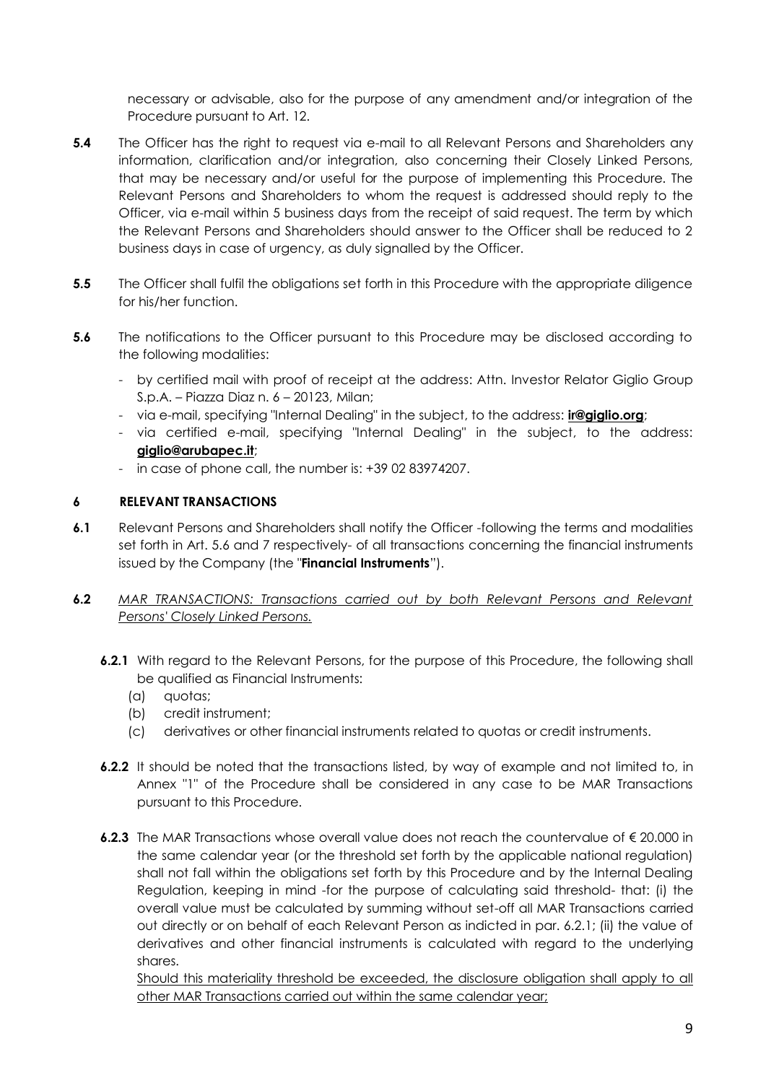necessary or advisable, also for the purpose of any amendment and/or integration of the Procedure pursuant to Art. 12.

- **5.4** The Officer has the right to request via e-mail to all Relevant Persons and Shareholders any information, clarification and/or integration, also concerning their Closely Linked Persons, that may be necessary and/or useful for the purpose of implementing this Procedure. The Relevant Persons and Shareholders to whom the request is addressed should reply to the Officer, via e-mail within 5 business days from the receipt of said request. The term by which the Relevant Persons and Shareholders should answer to the Officer shall be reduced to 2 business days in case of urgency, as duly signalled by the Officer.
- **5.5** The Officer shall fulfil the obligations set forth in this Procedure with the appropriate diligence for his/her function.
- **5.6** The notifications to the Officer pursuant to this Procedure may be disclosed according to the following modalities:
	- by certified mail with proof of receipt at the address: Attn. Investor Relator Giglio Group S.p.A. – Piazza Diaz n. 6 – 20123, Milan;
	- via e-mail, specifying "Internal Dealing" in the subject, to the address: **[ir@giglio.org](mailto:ir@giglio.org)**;
	- via certified e-mail, specifying "Internal Dealing" in the subject, to the address: **[giglio@arubapec.it](mailto:giglio@arubapec.it)**;
	- in case of phone call, the number is: +39 02 83974207.

## <span id="page-8-0"></span>**6 RELEVANT TRANSACTIONS**

**6.1** Relevant Persons and Shareholders shall notify the Officer -following the terms and modalities set forth in Art. 5.6 and 7 respectively- of all transactions concerning the financial instruments issued by the Company (the "**Financial Instruments**").

## **6.2** *MAR TRANSACTIONS: Transactions carried out by both Relevant Persons and Relevant Persons' Closely Linked Persons.*

- **6.2.1** With regard to the Relevant Persons, for the purpose of this Procedure, the following shall be qualified as Financial Instruments:
	- (a) quotas;
	- (b) credit instrument;
	- (c) derivatives or other financial instruments related to quotas or credit instruments.
- **6.2.2** It should be noted that the transactions listed, by way of example and not limited to, in Annex "1" of the Procedure shall be considered in any case to be MAR Transactions pursuant to this Procedure.
- **6.2.3** The MAR Transactions whose overall value does not reach the countervalue of € 20.000 in the same calendar year (or the threshold set forth by the applicable national regulation) shall not fall within the obligations set forth by this Procedure and by the Internal Dealing Regulation, keeping in mind -for the purpose of calculating said threshold- that: (i) the overall value must be calculated by summing without set-off all MAR Transactions carried out directly or on behalf of each Relevant Person as indicted in par. 6.2.1; (ii) the value of derivatives and other financial instruments is calculated with regard to the underlying shares.

Should this materiality threshold be exceeded, the disclosure obligation shall apply to all other MAR Transactions carried out within the same calendar year;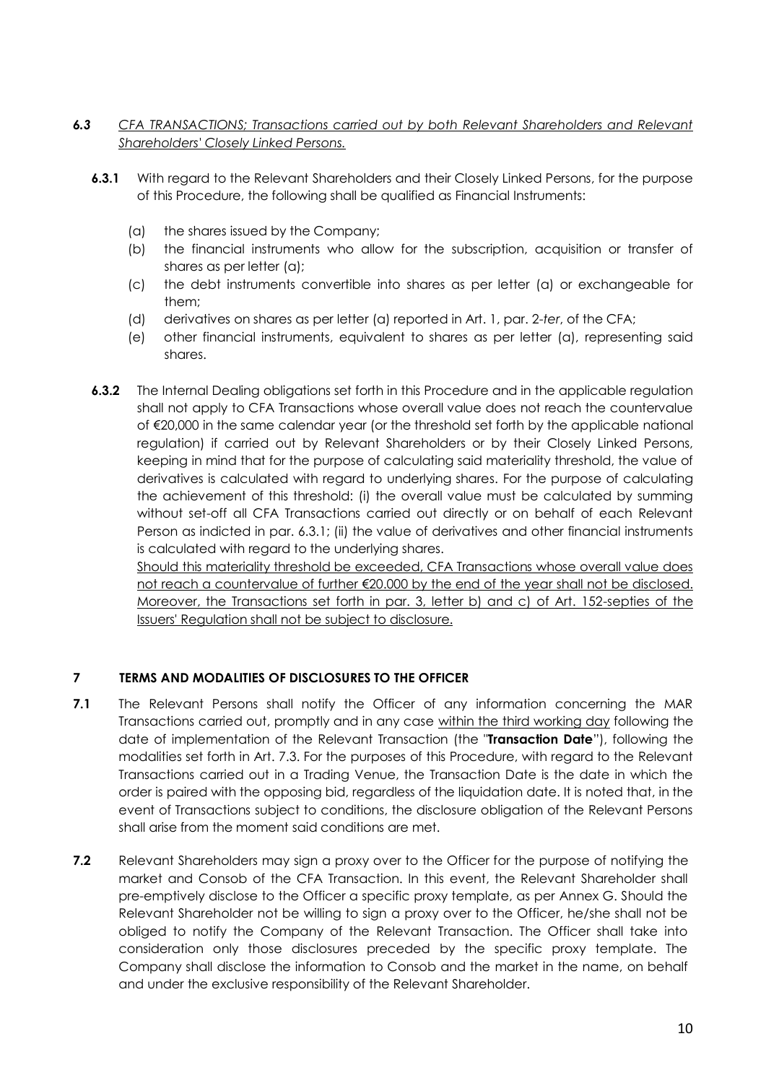# *6.3 CFA TRANSACTIONS; Transactions carried out by both Relevant Shareholders and Relevant Shareholders' Closely Linked Persons.*

- **6.3.1** With regard to the Relevant Shareholders and their Closely Linked Persons, for the purpose of this Procedure, the following shall be qualified as Financial Instruments:
	- (a) the shares issued by the Company;
	- (b) the financial instruments who allow for the subscription, acquisition or transfer of shares as per letter (a);
	- (c) the debt instruments convertible into shares as per letter (a) or exchangeable for them;
	- (d) derivatives on shares as per letter (a) reported in Art. 1, par. 2-*ter*, of the CFA;
	- (e) other financial instruments, equivalent to shares as per letter (a), representing said shares.
- **6.3.2** The Internal Dealing obligations set forth in this Procedure and in the applicable regulation shall not apply to CFA Transactions whose overall value does not reach the countervalue of €20,000 in the same calendar year (or the threshold set forth by the applicable national regulation) if carried out by Relevant Shareholders or by their Closely Linked Persons, keeping in mind that for the purpose of calculating said materiality threshold, the value of derivatives is calculated with regard to underlying shares. For the purpose of calculating the achievement of this threshold: (i) the overall value must be calculated by summing without set-off all CFA Transactions carried out directly or on behalf of each Relevant Person as indicted in par. 6.3.1; (ii) the value of derivatives and other financial instruments is calculated with regard to the underlying shares.

Should this materiality threshold be exceeded, CFA Transactions whose overall value does not reach a countervalue of further €20.000 by the end of the year shall not be disclosed. Moreover, the Transactions set forth in par. 3, letter b) and c) of Art. 152-septies of the Issuers' Regulation shall not be subject to disclosure.

## <span id="page-9-0"></span>**7 TERMS AND MODALITIES OF DISCLOSURES TO THE OFFICER**

- **7.1** The Relevant Persons shall notify the Officer of any information concerning the MAR Transactions carried out, promptly and in any case within the third working day following the date of implementation of the Relevant Transaction (the "**Transaction Date**"), following the modalities set forth in Art. 7.3. For the purposes of this Procedure, with regard to the Relevant Transactions carried out in a Trading Venue, the Transaction Date is the date in which the order is paired with the opposing bid, regardless of the liquidation date. It is noted that, in the event of Transactions subject to conditions, the disclosure obligation of the Relevant Persons shall arise from the moment said conditions are met.
- **7.2** Relevant Shareholders may sign a proxy over to the Officer for the purpose of notifying the market and Consob of the CFA Transaction. In this event, the Relevant Shareholder shall pre-emptively disclose to the Officer a specific proxy template, as per Annex G. Should the Relevant Shareholder not be willing to sign a proxy over to the Officer, he/she shall not be obliged to notify the Company of the Relevant Transaction. The Officer shall take into consideration only those disclosures preceded by the specific proxy template. The Company shall disclose the information to Consob and the market in the name, on behalf and under the exclusive responsibility of the Relevant Shareholder.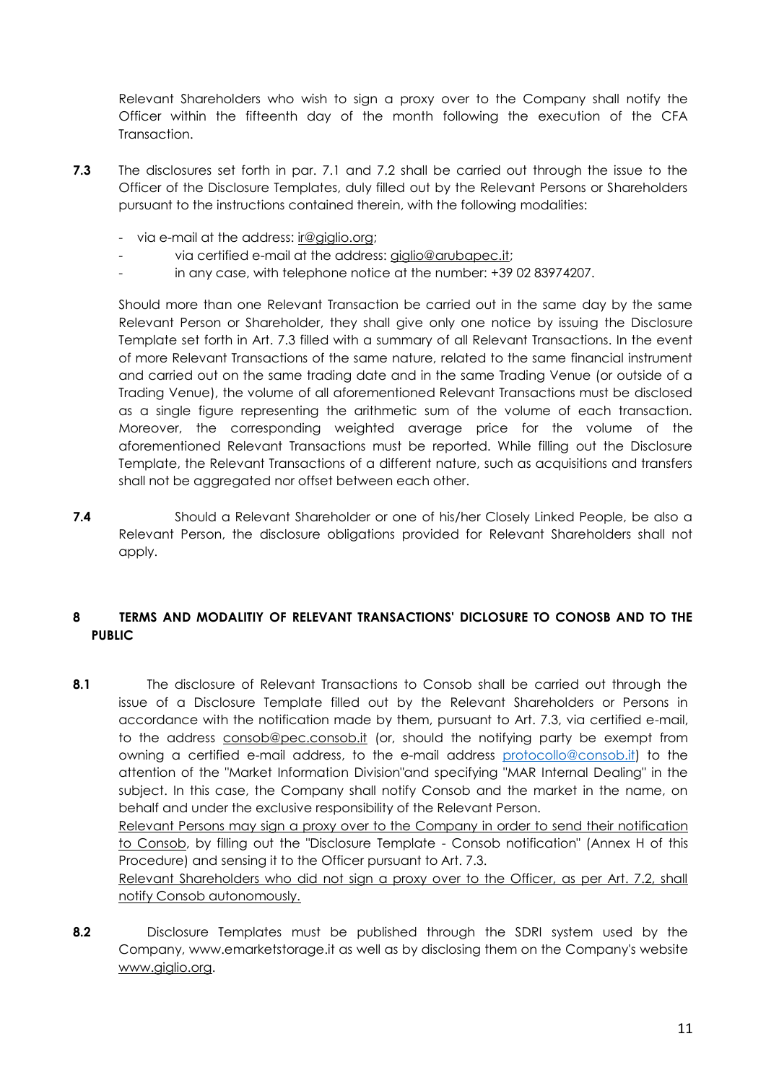Relevant Shareholders who wish to sign a proxy over to the Company shall notify the Officer within the fifteenth day of the month following the execution of the CFA Transaction.

- **7.3** The disclosures set forth in par. 7.1 and 7.2 shall be carried out through the issue to the Officer of the Disclosure Templates, duly filled out by the Relevant Persons or Shareholders pursuant to the instructions contained therein, with the following modalities:
	- via e-mail at the address: [ir@giglio.org;](mailto:ir@giglio.org)
	- via certified e-mail at the address: [giglio@arubapec.it;](mailto:giglio@arubapec.it)
	- in any case, with telephone notice at the number: +39 02 83974207.

Should more than one Relevant Transaction be carried out in the same day by the same Relevant Person or Shareholder, they shall give only one notice by issuing the Disclosure Template set forth in Art. 7.3 filled with a summary of all Relevant Transactions. In the event of more Relevant Transactions of the same nature, related to the same financial instrument and carried out on the same trading date and in the same Trading Venue (or outside of a Trading Venue), the volume of all aforementioned Relevant Transactions must be disclosed as a single figure representing the arithmetic sum of the volume of each transaction. Moreover, the corresponding weighted average price for the volume of the aforementioned Relevant Transactions must be reported. While filling out the Disclosure Template, the Relevant Transactions of a different nature, such as acquisitions and transfers shall not be aggregated nor offset between each other.

**7.4** Should a Relevant Shareholder or one of his/her Closely Linked People, be also a Relevant Person, the disclosure obligations provided for Relevant Shareholders shall not apply.

# <span id="page-10-0"></span>**8 TERMS AND MODALITIY OF RELEVANT TRANSACTIONS' DICLOSURE TO CONOSB AND TO THE PUBLIC**

**8.1** The disclosure of Relevant Transactions to Consob shall be carried out through the issue of a Disclosure Template filled out by the Relevant Shareholders or Persons in accordance with the notification made by them, pursuant to Art. 7.3, via certified e-mail, to the address [consob@pec.consob.it](mailto:consob@pec.consob.it) (or, should the notifying party be exempt from owning a certified e-mail address, to the e-mail address [protocollo@consob.it\)](mailto:protocollo@consob.it) to the attention of the "Market Information Division"and specifying "MAR Internal Dealing" in the subject. In this case, the Company shall notify Consob and the market in the name, on behalf and under the exclusive responsibility of the Relevant Person. Relevant Persons may sign a proxy over to the Company in order to send their notification to Consob, by filling out the "Disclosure Template - Consob notification" (Annex H of this

Procedure) and sensing it to the Officer pursuant to Art. 7.3. Relevant Shareholders who did not sign a proxy over to the Officer, as per Art. 7.2, shall notify Consob autonomously.

**8.2** Disclosure Templates must be published through the SDRI system used by the Company, www.emarketstorage.it as well as by disclosing them on the Company's website [www.giglio.org.](http://www.giglio.org/)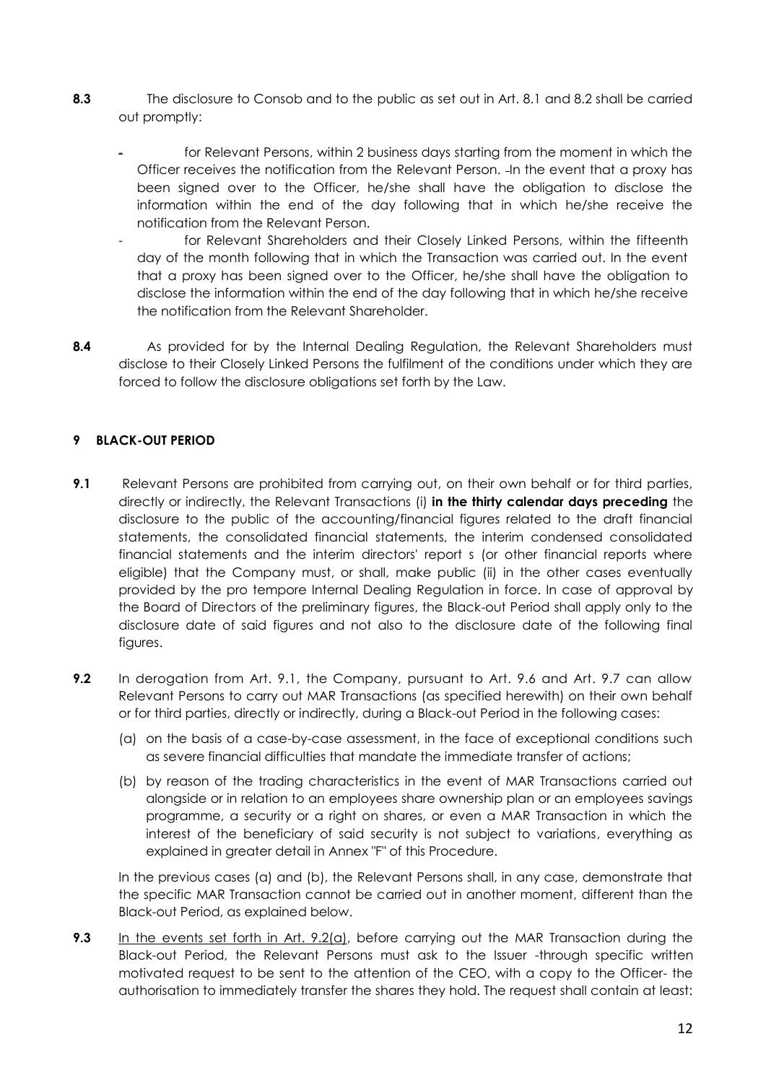- **8.3** The disclosure to Consob and to the public as set out in Art. 8.1 and 8.2 shall be carried out promptly:
	- for Relevant Persons, within 2 business days starting from the moment in which the Officer receives the notification from the Relevant Person. In the event that a proxy has been signed over to the Officer, he/she shall have the obligation to disclose the information within the end of the day following that in which he/she receive the notification from the Relevant Person.
		- for Relevant Shareholders and their Closely Linked Persons, within the fifteenth day of the month following that in which the Transaction was carried out. In the event that a proxy has been signed over to the Officer, he/she shall have the obligation to disclose the information within the end of the day following that in which he/she receive the notification from the Relevant Shareholder.
- **8.4** As provided for by the Internal Dealing Regulation, the Relevant Shareholders must disclose to their Closely Linked Persons the fulfilment of the conditions under which they are forced to follow the disclosure obligations set forth by the Law.

## <span id="page-11-0"></span>**9 BLACK-OUT PERIOD**

- **9.1** Relevant Persons are prohibited from carrying out, on their own behalf or for third parties, directly or indirectly, the Relevant Transactions (i) **in the thirty calendar days preceding** the disclosure to the public of the accounting/financial figures related to the draft financial statements, the consolidated financial statements, the interim condensed consolidated financial statements and the interim directors' report s (or other financial reports where eligible) that the Company must, or shall, make public (ii) in the other cases eventually provided by the pro tempore Internal Dealing Regulation in force. In case of approval by the Board of Directors of the preliminary figures, the Black-out Period shall apply only to the disclosure date of said figures and not also to the disclosure date of the following final figures.
- **9.2** In derogation from Art. 9.1, the Company, pursuant to Art. 9.6 and Art. 9.7 can allow Relevant Persons to carry out MAR Transactions (as specified herewith) on their own behalf or for third parties, directly or indirectly, during a Black-out Period in the following cases:
	- (a) on the basis of a case-by-case assessment, in the face of exceptional conditions such as severe financial difficulties that mandate the immediate transfer of actions;
	- (b) by reason of the trading characteristics in the event of MAR Transactions carried out alongside or in relation to an employees share ownership plan or an employees savings programme, a security or a right on shares, or even a MAR Transaction in which the interest of the beneficiary of said security is not subject to variations, everything as explained in greater detail in Annex "F" of this Procedure.

In the previous cases (a) and (b), the Relevant Persons shall, in any case, demonstrate that the specific MAR Transaction cannot be carried out in another moment, different than the Black-out Period, as explained below.

**9.3** In the events set forth in Art. 9.2(a), before carrying out the MAR Transaction during the Black-out Period, the Relevant Persons must ask to the Issuer -through specific written motivated request to be sent to the attention of the CEO, with a copy to the Officer- the authorisation to immediately transfer the shares they hold. The request shall contain at least: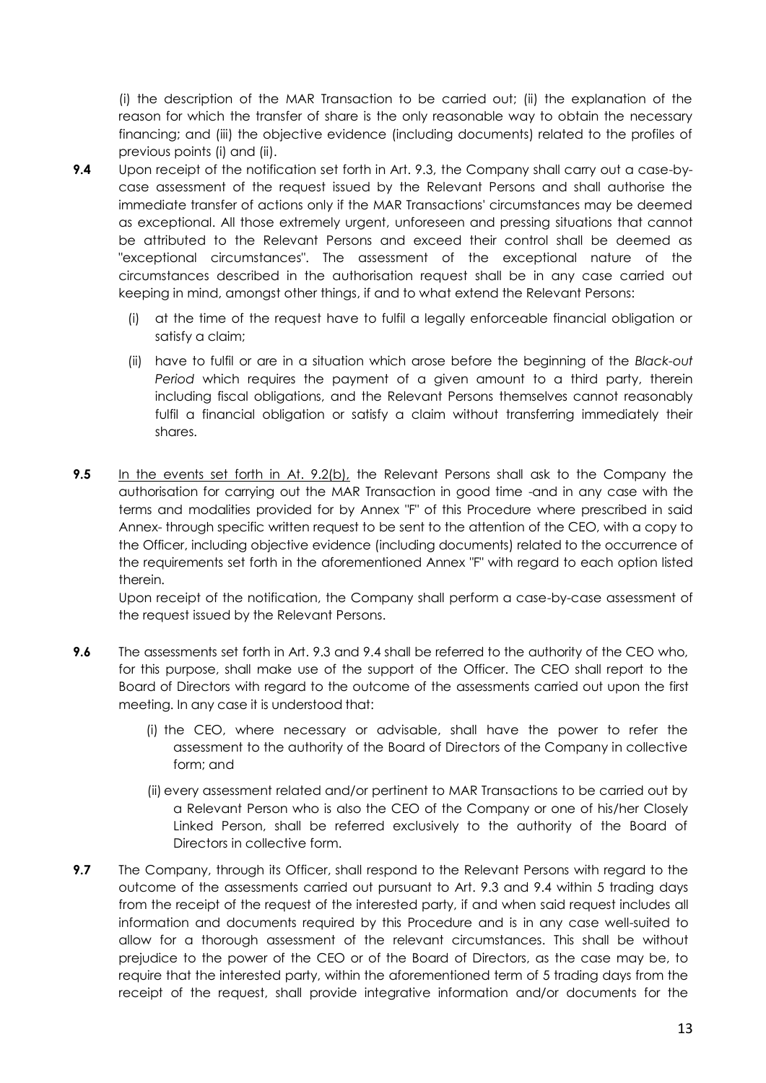(i) the description of the MAR Transaction to be carried out; (ii) the explanation of the reason for which the transfer of share is the only reasonable way to obtain the necessary financing; and (iii) the objective evidence (including documents) related to the profiles of previous points (i) and (ii).

- **9.4** Upon receipt of the notification set forth in Art. 9.3, the Company shall carry out a case-bycase assessment of the request issued by the Relevant Persons and shall authorise the immediate transfer of actions only if the MAR Transactions' circumstances may be deemed as exceptional. All those extremely urgent, unforeseen and pressing situations that cannot be attributed to the Relevant Persons and exceed their control shall be deemed as "exceptional circumstances". The assessment of the exceptional nature of the circumstances described in the authorisation request shall be in any case carried out keeping in mind, amongst other things, if and to what extend the Relevant Persons:
	- (i) at the time of the request have to fulfil a legally enforceable financial obligation or satisfy a claim;
	- (ii) have to fulfil or are in a situation which arose before the beginning of the *Black-out Period* which requires the payment of a given amount to a third party, therein including fiscal obligations, and the Relevant Persons themselves cannot reasonably fulfil a financial obligation or satisfy a claim without transferring immediately their shares.
- **9.5** In the events set forth in At. 9.2(b), the Relevant Persons shall ask to the Company the authorisation for carrying out the MAR Transaction in good time -and in any case with the terms and modalities provided for by Annex "F" of this Procedure where prescribed in said Annex- through specific written request to be sent to the attention of the CEO, with a copy to the Officer, including objective evidence (including documents) related to the occurrence of the requirements set forth in the aforementioned Annex "F" with regard to each option listed therein.

Upon receipt of the notification, the Company shall perform a case-by-case assessment of the request issued by the Relevant Persons.

- **9.6** The assessments set forth in Art. 9.3 and 9.4 shall be referred to the authority of the CEO who, for this purpose, shall make use of the support of the Officer. The CEO shall report to the Board of Directors with regard to the outcome of the assessments carried out upon the first meeting. In any case it is understood that:
	- (i) the CEO, where necessary or advisable, shall have the power to refer the assessment to the authority of the Board of Directors of the Company in collective form; and
	- (ii) every assessment related and/or pertinent to MAR Transactions to be carried out by a Relevant Person who is also the CEO of the Company or one of his/her Closely Linked Person, shall be referred exclusively to the authority of the Board of Directors in collective form.
- **9.7** The Company, through its Officer, shall respond to the Relevant Persons with regard to the outcome of the assessments carried out pursuant to Art. 9.3 and 9.4 within 5 trading days from the receipt of the request of the interested party, if and when said request includes all information and documents required by this Procedure and is in any case well-suited to allow for a thorough assessment of the relevant circumstances. This shall be without prejudice to the power of the CEO or of the Board of Directors, as the case may be, to require that the interested party, within the aforementioned term of 5 trading days from the receipt of the request, shall provide integrative information and/or documents for the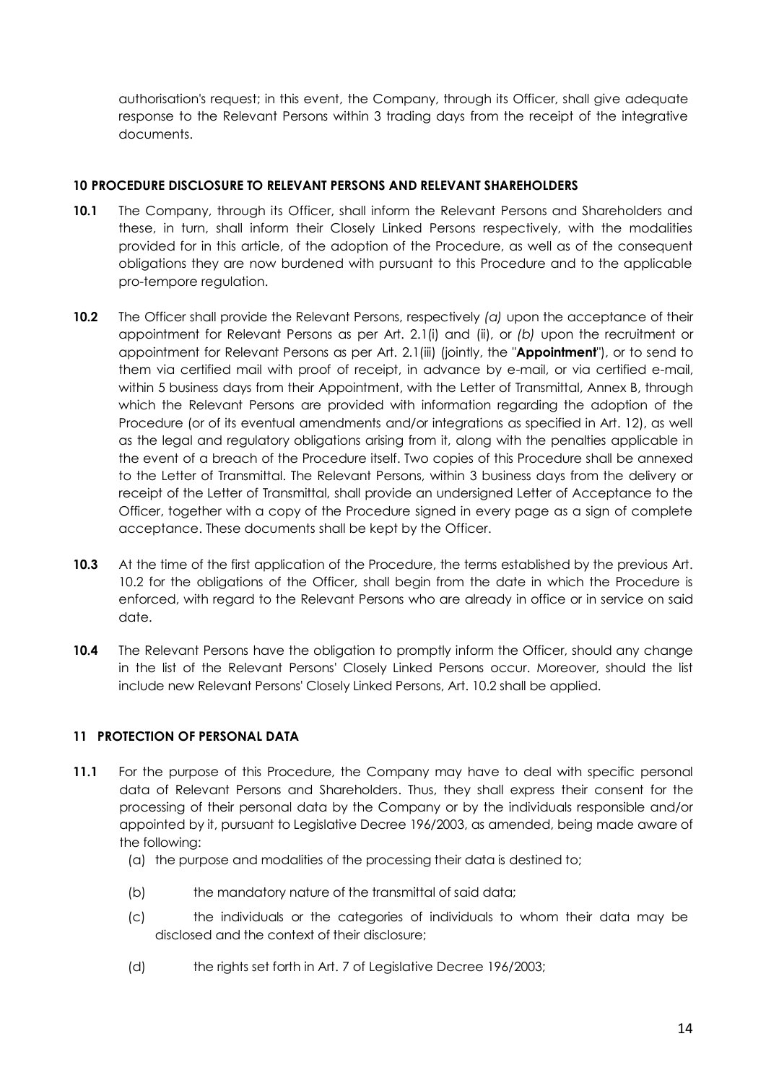authorisation's request; in this event, the Company, through its Officer, shall give adequate response to the Relevant Persons within 3 trading days from the receipt of the integrative documents.

# <span id="page-13-0"></span>**10 PROCEDURE DISCLOSURE TO RELEVANT PERSONS AND RELEVANT SHAREHOLDERS**

- **10.1** The Company, through its Officer, shall inform the Relevant Persons and Shareholders and these, in turn, shall inform their Closely Linked Persons respectively, with the modalities provided for in this article, of the adoption of the Procedure, as well as of the consequent obligations they are now burdened with pursuant to this Procedure and to the applicable pro-tempore regulation.
- **10.2** The Officer shall provide the Relevant Persons, respectively *(a)* upon the acceptance of their appointment for Relevant Persons as per Art. 2.1(i) and (ii), or *(b)* upon the recruitment or appointment for Relevant Persons as per Art. 2.1(iii) (jointly, the "**Appointment**"), or to send to them via certified mail with proof of receipt, in advance by e-mail, or via certified e-mail, within 5 business days from their Appointment, with the Letter of Transmittal, Annex B, through which the Relevant Persons are provided with information regarding the adoption of the Procedure (or of its eventual amendments and/or integrations as specified in Art. 12), as well as the legal and regulatory obligations arising from it, along with the penalties applicable in the event of a breach of the Procedure itself. Two copies of this Procedure shall be annexed to the Letter of Transmittal. The Relevant Persons, within 3 business days from the delivery or receipt of the Letter of Transmittal, shall provide an undersigned Letter of Acceptance to the Officer, together with a copy of the Procedure signed in every page as a sign of complete acceptance. These documents shall be kept by the Officer.
- **10.3** At the time of the first application of the Procedure, the terms established by the previous Art. 10.2 for the obligations of the Officer, shall begin from the date in which the Procedure is enforced, with regard to the Relevant Persons who are already in office or in service on said date.
- **10.4** The Relevant Persons have the obligation to promptly inform the Officer, should any change in the list of the Relevant Persons' Closely Linked Persons occur. Moreover, should the list include new Relevant Persons' Closely Linked Persons, Art. 10.2 shall be applied.

# <span id="page-13-1"></span>**11 PROTECTION OF PERSONAL DATA**

- **11.1** For the purpose of this Procedure, the Company may have to deal with specific personal data of Relevant Persons and Shareholders. Thus, they shall express their consent for the processing of their personal data by the Company or by the individuals responsible and/or appointed by it, pursuant to Legislative Decree 196/2003, as amended, being made aware of the following:
	- (a) the purpose and modalities of the processing their data is destined to;
	- (b) the mandatory nature of the transmittal of said data;
	- (c) the individuals or the categories of individuals to whom their data may be disclosed and the context of their disclosure;
	- (d) the rights set forth in Art. 7 of Legislative Decree 196/2003;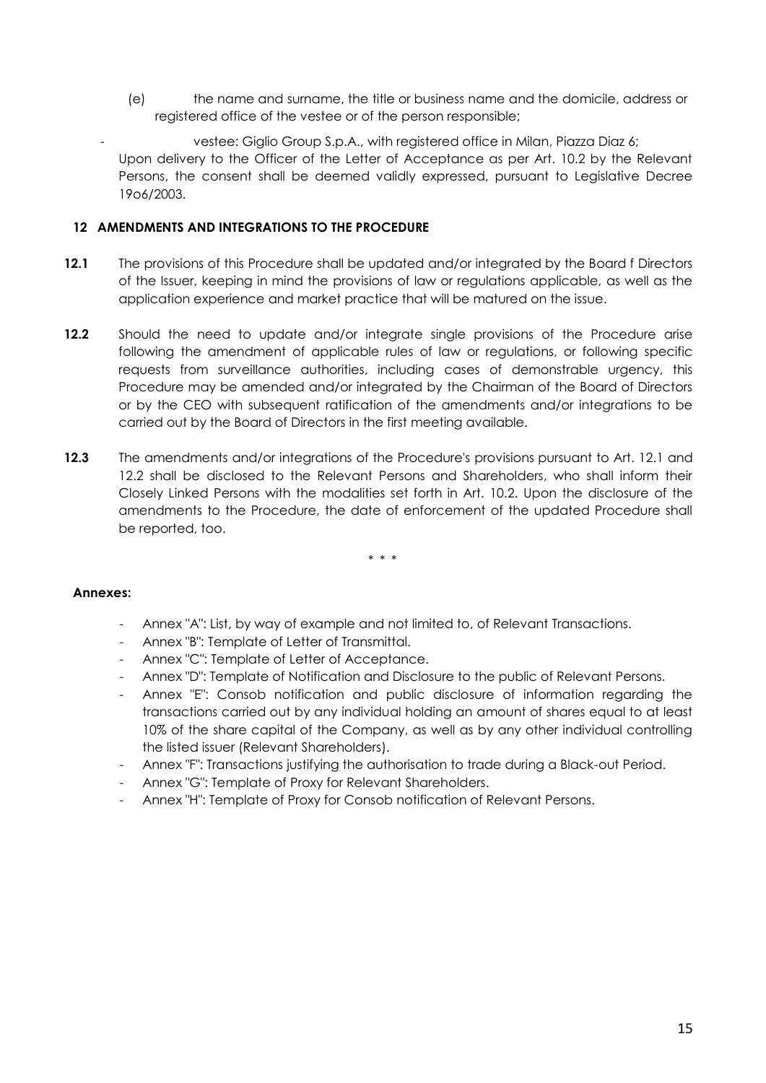- (e) the name and surname, the title or business name and the domicile, address or registered office of the vestee or of the person responsible;
- vestee: Giglio Group S.p.A., with registered office in Milan, Piazza Diaz 6; Upon delivery to the Officer of the Letter of Acceptance as per Art. 10.2 by the Relevant Persons, the consent shall be deemed validly expressed, pursuant to Legislative Decree 19o6/2003.

## <span id="page-14-0"></span>**12 AMENDMENTS AND INTEGRATIONS TO THE PROCEDURE**

- **12.1** The provisions of this Procedure shall be updated and/or integrated by the Board f Directors of the Issuer, keeping in mind the provisions of law or regulations applicable, as well as the application experience and market practice that will be matured on the issue.
- **12.2** Should the need to update and/or integrate single provisions of the Procedure arise following the amendment of applicable rules of law or regulations, or following specific requests from surveillance authorities, including cases of demonstrable urgency, this Procedure may be amended and/or integrated by the Chairman of the Board of Directors or by the CEO with subsequent ratification of the amendments and/or integrations to be carried out by the Board of Directors in the first meeting available.
- **12.3** The amendments and/or integrations of the Procedure's provisions pursuant to Art. 12.1 and 12.2 shall be disclosed to the Relevant Persons and Shareholders, who shall inform their Closely Linked Persons with the modalities set forth in Art. 10.2. Upon the disclosure of the amendments to the Procedure, the date of enforcement of the updated Procedure shall be reported, too.

\* \* \*

## **Annexes:**

- Annex "A": List, by way of example and not limited to, of Relevant Transactions.
- Annex "B": Template of Letter of Transmittal.
- Annex "C": Template of Letter of Acceptance.
- Annex "D": Template of Notification and Disclosure to the public of Relevant Persons.
- Annex "E": Consob notification and public disclosure of information regarding the transactions carried out by any individual holding an amount of shares equal to at least 10% of the share capital of the Company, as well as by any other individual controlling the listed issuer (Relevant Shareholders).
- Annex "F": Transactions justifying the authorisation to trade during a Black-out Period.
- Annex "G": Template of Proxy for Relevant Shareholders.
- Annex "H": Template of Proxy for Consob notification of Relevant Persons.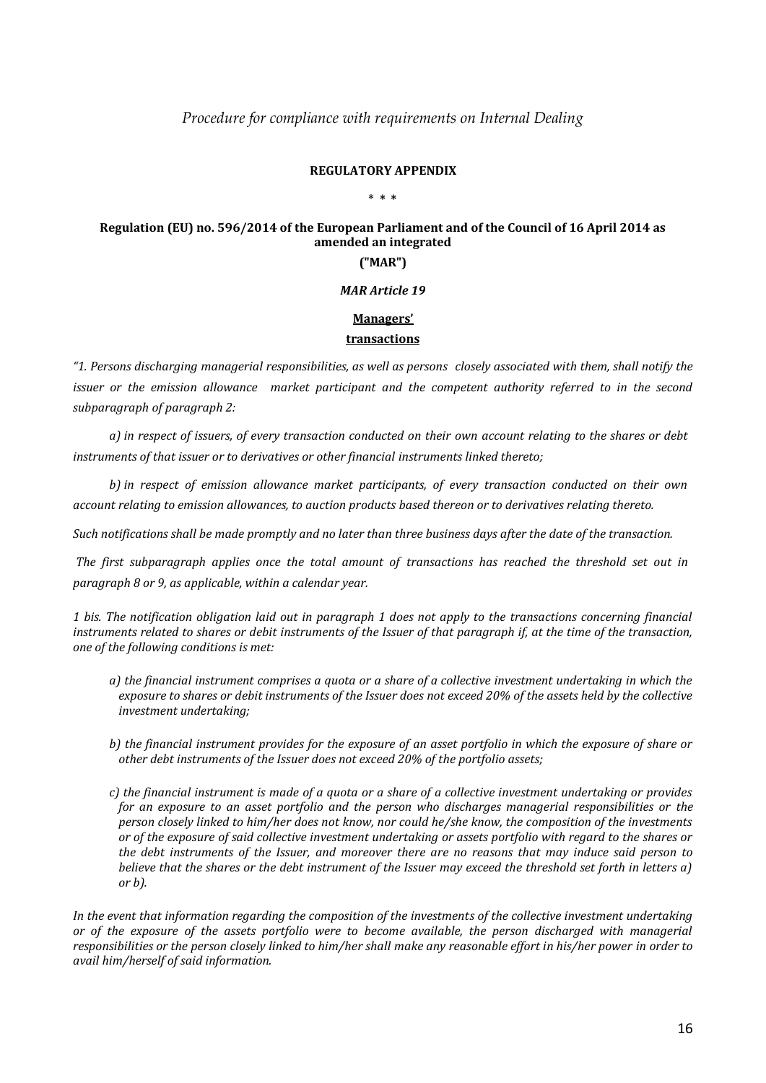#### **REGULATORY APPENDIX**

\* **\* \***

## **Regulation (EU) no. 596/2014 of the European Parliament and of the Council of 16 April 2014 as amended an integrated**

## **("MAR")**

### *MAR Article 19*

# **Managers'**

## **transactions**

*"1. Persons discharging managerial responsibilities, as well as persons closely associated with them, shall notify the issuer or the emission allowance market participant and the competent authority referred to in the second subparagraph of paragraph 2:*

*a) in respect of issuers, of every transaction conducted on their own account relating to the shares or debt instruments of that issuer or to derivatives or other financial instruments linked thereto;*

*b) in respect of emission allowance market participants, of every transaction conducted on their own account relating to emission allowances, to auction products based thereon or to derivatives relating thereto.*

*Such notifications shall be made promptly and no later than three business days after the date of the transaction.*

*The first subparagraph applies once the total amount of transactions has reached the threshold set out in paragraph 8 or 9, as applicable, within a calendar year.*

*1 bis. The notification obligation laid out in paragraph 1 does not apply to the transactions concerning financial instruments related to shares or debit instruments of the Issuer of that paragraph if, at the time of the transaction, one of the following conditions is met:*

- *a) the financial instrument comprises a quota or a share of a collective investment undertaking in which the exposure to shares or debit instruments of the Issuer does not exceed 20% of the assets held by the collective investment undertaking;*
- *b) the financial instrument provides for the exposure of an asset portfolio in which the exposure of share or other debt instruments of the Issuer does not exceed 20% of the portfolio assets;*
- *c) the financial instrument is made of a quota or a share of a collective investment undertaking or provides for an exposure to an asset portfolio and the person who discharges managerial responsibilities or the person closely linked to him/her does not know, nor could he/she know, the composition of the investments or of the exposure of said collective investment undertaking or assets portfolio with regard to the shares or the debt instruments of the Issuer, and moreover there are no reasons that may induce said person to believe that the shares or the debt instrument of the Issuer may exceed the threshold set forth in letters a) or b).*

*In the event that information regarding the composition of the investments of the collective investment undertaking or of the exposure of the assets portfolio were to become available, the person discharged with managerial responsibilities or the person closely linked to him/her shall make any reasonable effort in his/her power in order to avail him/herself of said information.*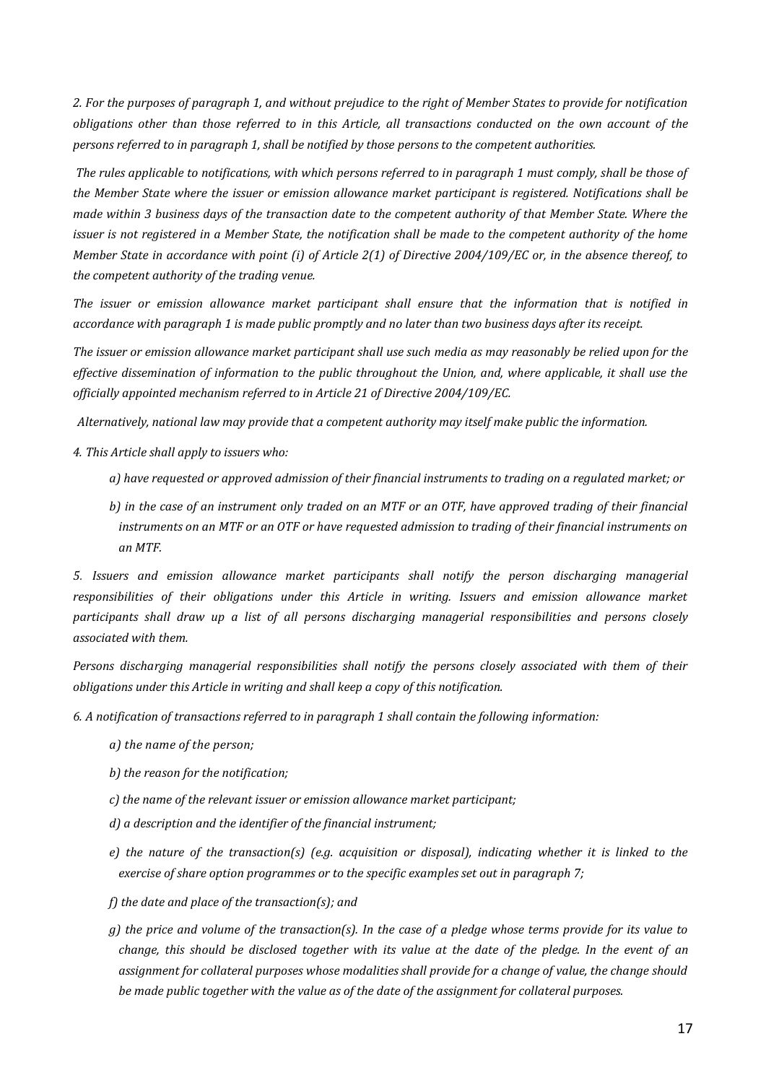*2. For the purposes of paragraph 1, and without prejudice to the right of Member States to provide for notification obligations other than those referred to in this Article, all transactions conducted on the own account of the persons referred to in paragraph 1, shall be notified by those persons to the competent authorities.*

*The rules applicable to notifications, with which persons referred to in paragraph 1 must comply, shall be those of the Member State where the issuer or emission allowance market participant is registered. Notifications shall be made within 3 business days of the transaction date to the competent authority of that Member State. Where the issuer is not registered in a Member State, the notification shall be made to the competent authority of the home Member State in accordance with point (i) of Article 2(1) of Directive 2004/109/EC or, in the absence thereof, to the competent authority of the trading venue.*

*The issuer or emission allowance market participant shall ensure that the information that is notified in accordance with paragraph 1 is made public promptly and no later than two business days after its receipt.*

*The issuer or emission allowance market participant shall use such media as may reasonably be relied upon for the effective dissemination of information to the public throughout the Union, and, where applicable, it shall use the officially appointed mechanism referred to in Article 21 of Directive 2004/109/EC.*

*Alternatively, national law may provide that a competent authority may itself make public the information.*

- *4. This Article shall apply to issuers who:*
	- *a) have requested or approved admission of their financial instruments to trading on a regulated market; or*
	- *b) in the case of an instrument only traded on an MTF or an OTF, have approved trading of their financial instruments on an MTF or an OTF or have requested admission to trading of their financial instruments on an MTF.*

*5. Issuers and emission allowance market participants shall notify the person discharging managerial responsibilities of their obligations under this Article in writing. Issuers and emission allowance market participants shall draw up a list of all persons discharging managerial responsibilities and persons closely associated with them.*

*Persons discharging managerial responsibilities shall notify the persons closely associated with them of their obligations under this Article in writing and shall keep a copy of this notification.*

*6. A notification of transactions referred to in paragraph 1 shall contain the following information:*

- *a) the name of the person;*
- *b) the reason for the notification;*
- *c) the name of the relevant issuer or emission allowance market participant;*
- *d) a description and the identifier of the financial instrument;*
- *e) the nature of the transaction(s) (e.g. acquisition or disposal), indicating whether it is linked to the exercise of share option programmes or to the specific examples set out in paragraph 7;*
- *f) the date and place of the transaction(s); and*
- *g) the price and volume of the transaction(s). In the case of a pledge whose terms provide for its value to change, this should be disclosed together with its value at the date of the pledge. In the event of an assignment for collateral purposes whose modalities shall provide for a change of value, the change should be made public together with the value as of the date of the assignment for collateral purposes.*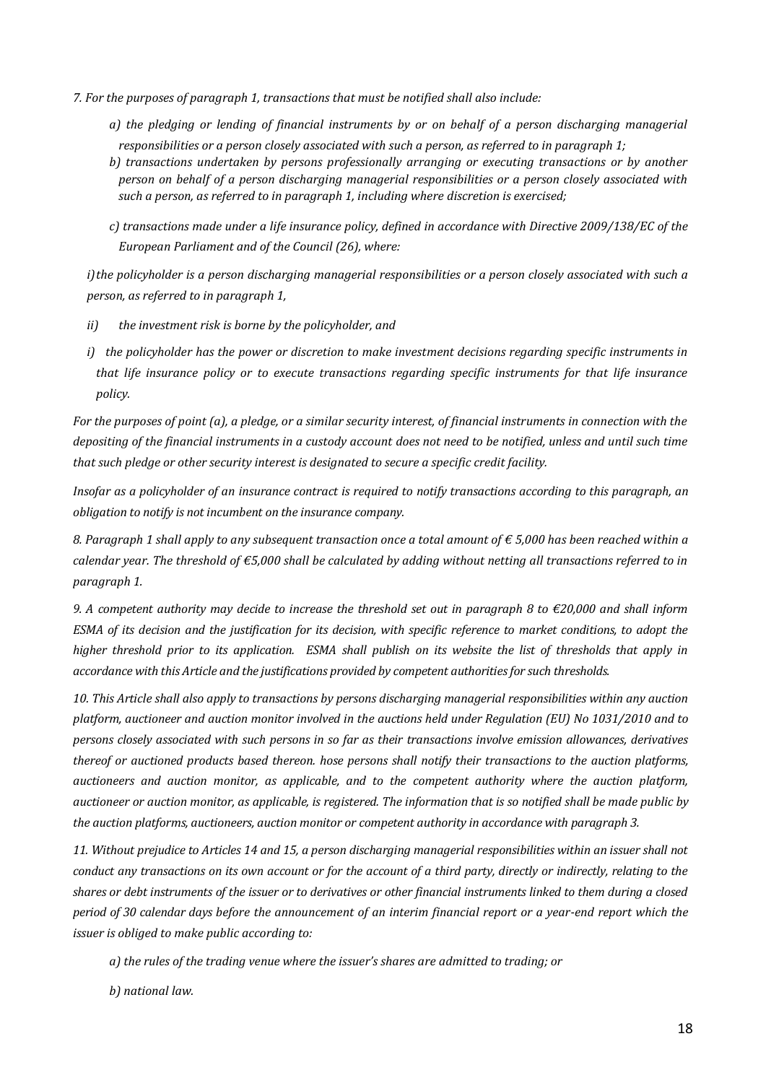- *7. For the purposes of paragraph 1, transactions that must be notified shall also include:*
	- *a) the pledging or lending of financial instruments by or on behalf of a person discharging managerial responsibilities or a person closely associated with such a person, as referred to in paragraph 1;*
	- *b) transactions undertaken by persons professionally arranging or executing transactions or by another person on behalf of a person discharging managerial responsibilities or a person closely associated with such a person, as referred to in paragraph 1, including where discretion is exercised;*
	- *c) transactions made under a life insurance policy, defined in accordance with Directive 2009/138/EC of the European Parliament and of the Council (26), where:*

*i)* the policyholder is a person discharging managerial responsibilities or a person closely associated with such a *person, as referred to in paragraph 1,*

- *ii) the investment risk is borne by the policyholder, and*
- *i) the policyholder has the power or discretion to make investment decisions regarding specific instruments in that life insurance policy or to execute transactions regarding specific instruments for that life insurance policy.*

*For the purposes of point (a), a pledge, or a similar security interest, of financial instruments in connection with the depositing of the financial instruments in a custody account does not need to be notified, unless and until such time that such pledge or other security interest is designated to secure a specific credit facility.*

*Insofar as a policyholder of an insurance contract is required to notify transactions according to this paragraph, an obligation to notify is not incumbent on the insurance company.*

*8. Paragraph 1 shall apply to any subsequent transaction once a total amount of € 5,000 has been reached within a calendar year. The threshold of €5,000 shall be calculated by adding without netting all transactions referred to in paragraph 1.*

*9. A competent authority may decide to increase the threshold set out in paragraph 8 to €20,000 and shall inform ESMA of its decision and the justification for its decision, with specific reference to market conditions, to adopt the higher threshold prior to its application. ESMA shall publish on its website the list of thresholds that apply in accordance with this Article and the justifications provided by competent authorities for such thresholds.*

*10. This Article shall also apply to transactions by persons discharging managerial responsibilities within any auction platform, auctioneer and auction monitor involved in the auctions held under Regulation (EU) No 1031/2010 and to persons closely associated with such persons in so far as their transactions involve emission allowances, derivatives thereof or auctioned products based thereon. hose persons shall notify their transactions to the auction platforms, auctioneers and auction monitor, as applicable, and to the competent authority where the auction platform, auctioneer or auction monitor, as applicable, is registered. The information that is so notified shall be made public by the auction platforms, auctioneers, auction monitor or competent authority in accordance with paragraph 3.*

*11. Without prejudice to Articles 14 and 15, a person discharging managerial responsibilities within an issuer shall not conduct any transactions on its own account or for the account of a third party, directly or indirectly, relating to the shares or debt instruments of the issuer or to derivatives or other financial instruments linked to them during a closed period of 30 calendar days before the announcement of an interim financial report or a year-end report which the issuer is obliged to make public according to:*

*a) the rules of the trading venue where the issuer's shares are admitted to trading; or*

*b) national law.*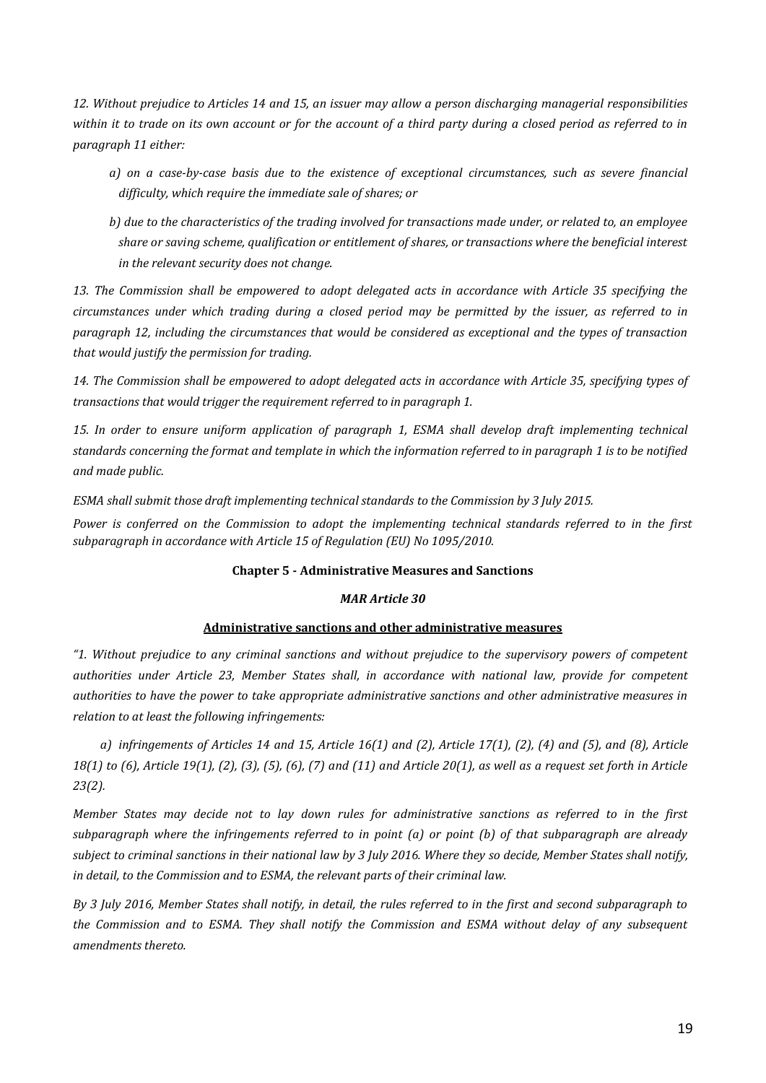*12. Without prejudice to Articles 14 and 15, an issuer may allow a person discharging managerial responsibilities within it to trade on its own account or for the account of a third party during a closed period as referred to in paragraph 11 either:*

- *a) on a case-by-case basis due to the existence of exceptional circumstances, such as severe financial difficulty, which require the immediate sale of shares; or*
- *b) due to the characteristics of the trading involved for transactions made under, or related to, an employee share or saving scheme, qualification or entitlement of shares, or transactions where the beneficial interest in the relevant security does not change.*

*13. The Commission shall be empowered to adopt delegated acts in accordance with Article 35 specifying the circumstances under which trading during a closed period may be permitted by the issuer, as referred to in paragraph 12, including the circumstances that would be considered as exceptional and the types of transaction that would justify the permission for trading.*

*14. The Commission shall be empowered to adopt delegated acts in accordance with Article 35, specifying types of transactions that would trigger the requirement referred to in paragraph 1.*

*15. In order to ensure uniform application of paragraph 1, ESMA shall develop draft implementing technical standards concerning the format and template in which the information referred to in paragraph 1 is to be notified and made public.*

*ESMA shall submit those draft implementing technical standards to the Commission by 3 July 2015.*

*Power is conferred on the Commission to adopt the implementing technical standards referred to in the first subparagraph in accordance with Article 15 of Regulation (EU) No 1095/2010.*

## **Chapter 5 - Administrative Measures and Sanctions**

#### *MAR Article 30*

#### **Administrative sanctions and other administrative measures**

*"1. Without prejudice to any criminal sanctions and without prejudice to the supervisory powers of competent authorities under Article 23, Member States shall, in accordance with national law, provide for competent authorities to have the power to take appropriate administrative sanctions and other administrative measures in relation to at least the following infringements:*

*a) infringements of Articles 14 and 15, Article 16(1) and (2), Article 17(1), (2), (4) and (5), and (8), Article 18(1) to (6), Article 19(1), (2), (3), (5), (6), (7) and (11) and Article 20(1), as well as a request set forth in Article 23(2).*

*Member States may decide not to lay down rules for administrative sanctions as referred to in the first subparagraph where the infringements referred to in point (a) or point (b) of that subparagraph are already subject to criminal sanctions in their national law by 3 July 2016. Where they so decide, Member States shall notify, in detail, to the Commission and to ESMA, the relevant parts of their criminal law.*

*By 3 July 2016, Member States shall notify, in detail, the rules referred to in the first and second subparagraph to the Commission and to ESMA. They shall notify the Commission and ESMA without delay of any subsequent amendments thereto.*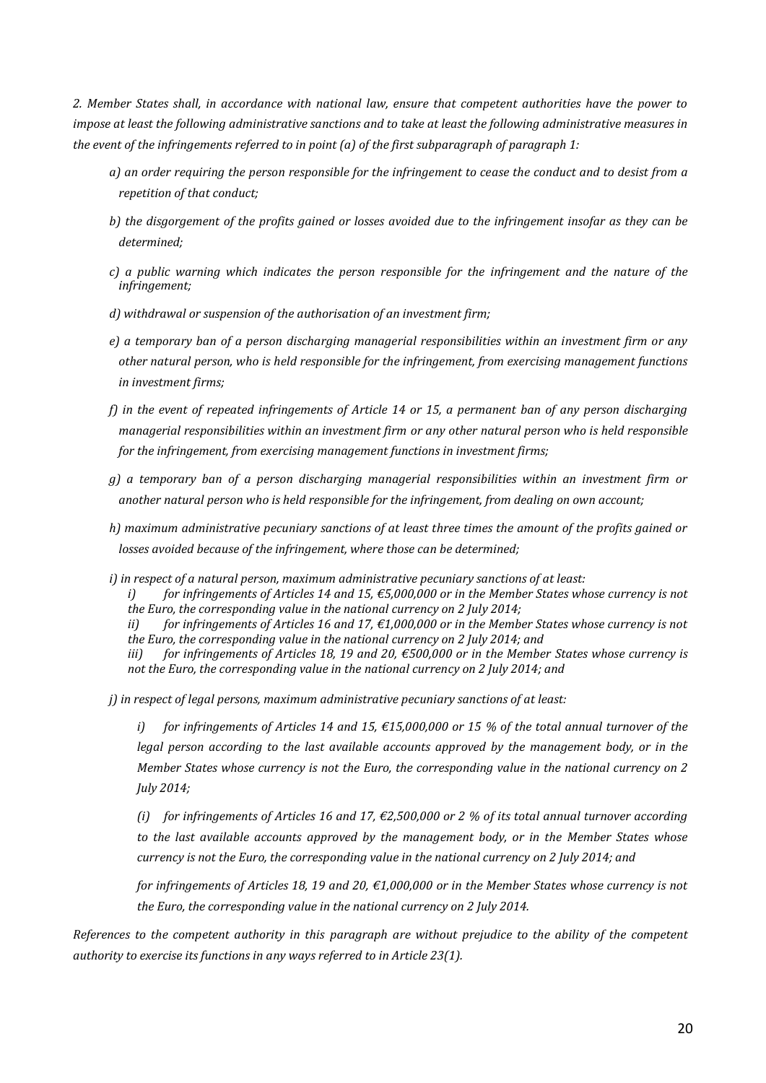*2. Member States shall, in accordance with national law, ensure that competent authorities have the power to impose at least the following administrative sanctions and to take at least the following administrative measures in the event of the infringements referred to in point (a) of the first subparagraph of paragraph 1:*

- *a) an order requiring the person responsible for the infringement to cease the conduct and to desist from a repetition of that conduct;*
- *b) the disgorgement of the profits gained or losses avoided due to the infringement insofar as they can be determined;*
- *c) a public warning which indicates the person responsible for the infringement and the nature of the infringement;*
- *d) withdrawal or suspension of the authorisation of an investment firm;*
- *e) a temporary ban of a person discharging managerial responsibilities within an investment firm or any other natural person, who is held responsible for the infringement, from exercising management functions in investment firms;*
- *f) in the event of repeated infringements of Article 14 or 15, a permanent ban of any person discharging managerial responsibilities within an investment firm or any other natural person who is held responsible for the infringement, from exercising management functions in investment firms;*
- *g) a temporary ban of a person discharging managerial responsibilities within an investment firm or another natural person who is held responsible for the infringement, from dealing on own account;*
- *h) maximum administrative pecuniary sanctions of at least three times the amount of the profits gained or losses avoided because of the infringement, where those can be determined;*
- *i) in respect of a natural person, maximum administrative pecuniary sanctions of at least:*
	- *i) for infringements of Articles 14 and 15, €5,000,000 or in the Member States whose currency is not the Euro, the corresponding value in the national currency on 2 July 2014;*
	- *ii) for infringements of Articles 16 and 17, €1,000,000 or in the Member States whose currency is not the Euro, the corresponding value in the national currency on 2 July 2014; and*

*iii) for infringements of Articles 18, 19 and 20, €500,000 or in the Member States whose currency is not the Euro, the corresponding value in the national currency on 2 July 2014; and*

*j) in respect of legal persons, maximum administrative pecuniary sanctions of at least:*

*i) for infringements of Articles 14 and 15, €15,000,000 or 15 % of the total annual turnover of the legal person according to the last available accounts approved by the management body, or in the Member States whose currency is not the Euro, the corresponding value in the national currency on 2 July 2014;*

*(i) for infringements of Articles 16 and 17, €2,500,000 or 2 % of its total annual turnover according to the last available accounts approved by the management body, or in the Member States whose currency is not the Euro, the corresponding value in the national currency on 2 July 2014; and*

*for infringements of Articles 18, 19 and 20, €1,000,000 or in the Member States whose currency is not the Euro, the corresponding value in the national currency on 2 July 2014.*

*References to the competent authority in this paragraph are without prejudice to the ability of the competent authority to exercise its functions in any ways referred to in Article 23(1).*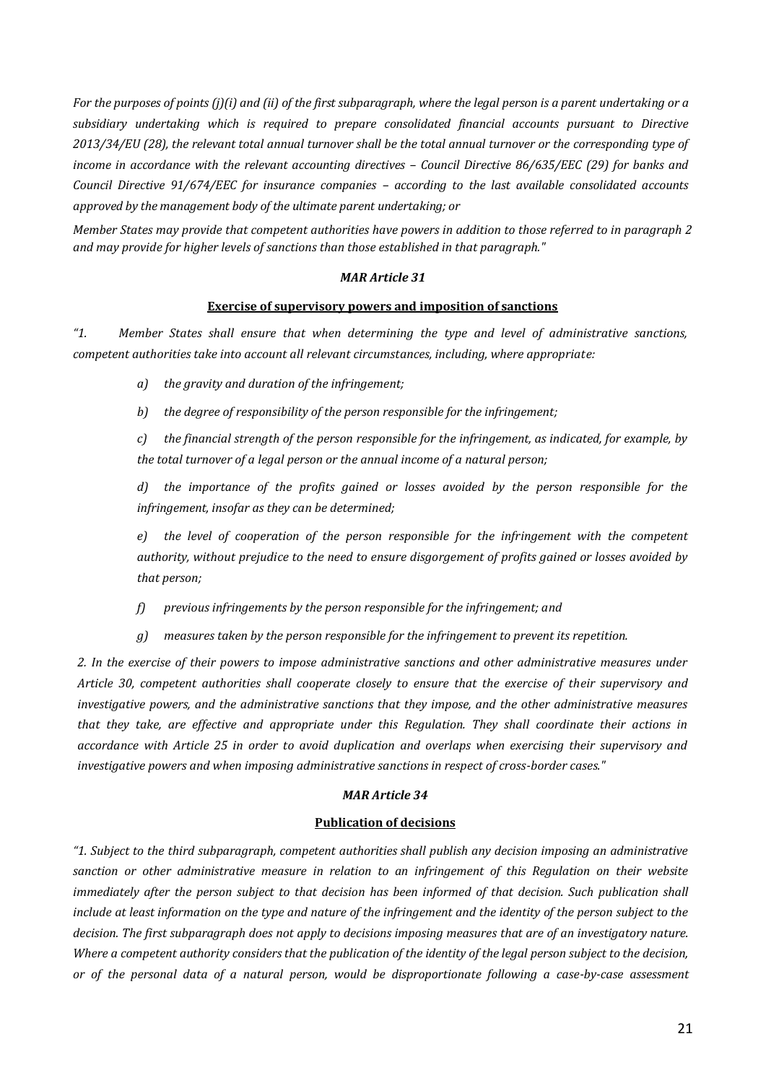*For the purposes of points (j)(i) and (ii) of the first subparagraph, where the legal person is a parent undertaking or a subsidiary undertaking which is required to prepare consolidated financial accounts pursuant to Directive 2013/34/EU (28), the relevant total annual turnover shall be the total annual turnover or the corresponding type of income in accordance with the relevant accounting directives – Council Directive 86/635/EEC (29) for banks and Council Directive 91/674/EEC for insurance companies – according to the last available consolidated accounts approved by the management body of the ultimate parent undertaking; or*

*Member States may provide that competent authorities have powers in addition to those referred to in paragraph 2 and may provide for higher levels of sanctions than those established in that paragraph."*

### *MAR Article 31*

#### **Exercise of supervisory powers and imposition of sanctions**

*"1. Member States shall ensure that when determining the type and level of administrative sanctions, competent authorities take into account all relevant circumstances, including, where appropriate:*

*a) the gravity and duration of the infringement;*

*b) the degree of responsibility of the person responsible for the infringement;*

*c) the financial strength of the person responsible for the infringement, as indicated, for example, by the total turnover of a legal person or the annual income of a natural person;*

*d) the importance of the profits gained or losses avoided by the person responsible for the infringement, insofar as they can be determined;*

*e) the level of cooperation of the person responsible for the infringement with the competent authority, without prejudice to the need to ensure disgorgement of profits gained or losses avoided by that person;*

*f) previous infringements by the person responsible for the infringement; and*

*g) measures taken by the person responsible for the infringement to prevent its repetition.*

*2. In the exercise of their powers to impose administrative sanctions and other administrative measures under Article 30, competent authorities shall cooperate closely to ensure that the exercise of their supervisory and investigative powers, and the administrative sanctions that they impose, and the other administrative measures that they take, are effective and appropriate under this Regulation. They shall coordinate their actions in accordance with Article 25 in order to avoid duplication and overlaps when exercising their supervisory and investigative powers and when imposing administrative sanctions in respect of cross-border cases."*

#### *MAR Article 34*

#### **Publication of decisions**

*"1. Subject to the third subparagraph, competent authorities shall publish any decision imposing an administrative sanction or other administrative measure in relation to an infringement of this Regulation on their website immediately after the person subject to that decision has been informed of that decision. Such publication shall include at least information on the type and nature of the infringement and the identity of the person subject to the decision. The first subparagraph does not apply to decisions imposing measures that are of an investigatory nature.*  Where a competent authority considers that the publication of the identity of the legal person subject to the decision, *or of the personal data of a natural person, would be disproportionate following a case-by-case assessment*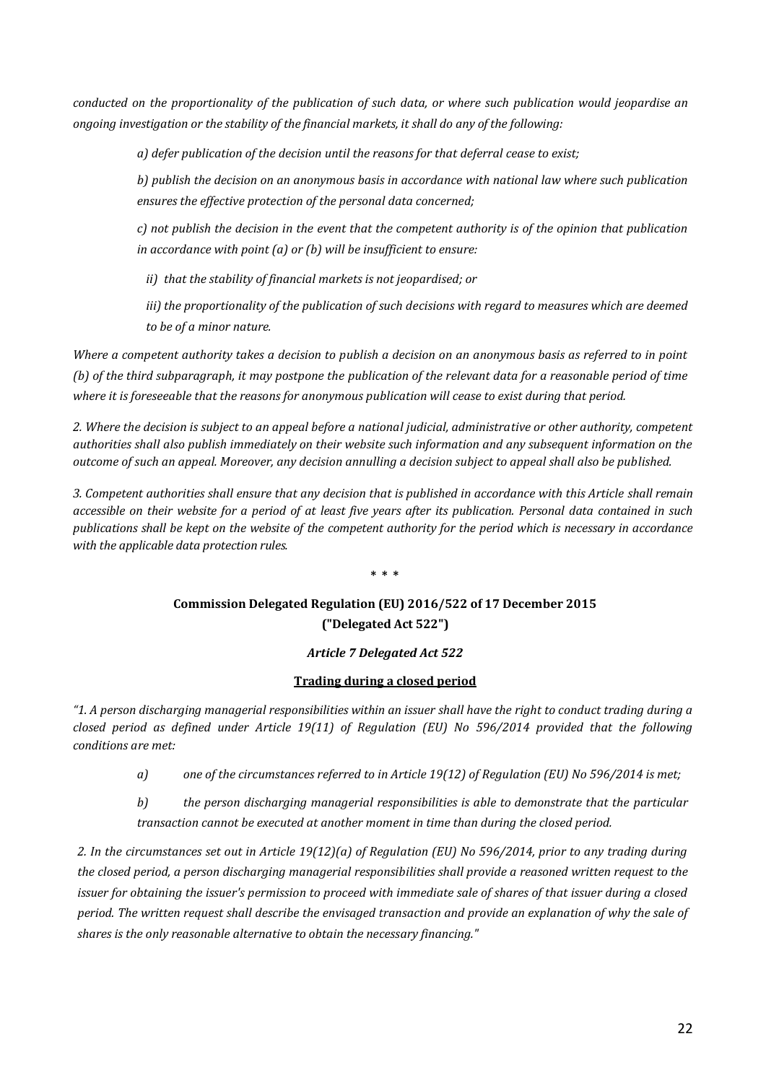*conducted on the proportionality of the publication of such data, or where such publication would jeopardise an ongoing investigation or the stability of the financial markets, it shall do any of the following:*

*a) defer publication of the decision until the reasons for that deferral cease to exist;*

*b) publish the decision on an anonymous basis in accordance with national law where such publication ensures the effective protection of the personal data concerned;*

*c) not publish the decision in the event that the competent authority is of the opinion that publication in accordance with point (a) or (b) will be insufficient to ensure:*

*ii) that the stability of financial markets is not jeopardised; or*

*iii) the proportionality of the publication of such decisions with regard to measures which are deemed to be of a minor nature.*

*Where a competent authority takes a decision to publish a decision on an anonymous basis as referred to in point (b) of the third subparagraph, it may postpone the publication of the relevant data for a reasonable period of time where it is foreseeable that the reasons for anonymous publication will cease to exist during that period.*

*2. Where the decision is subject to an appeal before a national judicial, administrative or other authority, competent authorities shall also publish immediately on their website such information and any subsequent information on the outcome of such an appeal. Moreover, any decision annulling a decision subject to appeal shall also be published.*

*3. Competent authorities shall ensure that any decision that is published in accordance with this Article shall remain accessible on their website for a period of at least five years after its publication. Personal data contained in such publications shall be kept on the website of the competent authority for the period which is necessary in accordance with the applicable data protection rules.*

**\* \* \***

# **Commission Delegated Regulation (EU) 2016/522 of 17 December 2015 ("Delegated Act 522")**

#### *Article 7 Delegated Act 522*

### **Trading during a closed period**

*"1. A person discharging managerial responsibilities within an issuer shall have the right to conduct trading during a closed period as defined under Article 19(11) of Regulation (EU) No 596/2014 provided that the following conditions are met:*

- *a) one of the circumstances referred to in Article 19(12) of Regulation (EU) No 596/2014 is met;*
- *b) the person discharging managerial responsibilities is able to demonstrate that the particular transaction cannot be executed at another moment in time than during the closed period.*

*2. In the circumstances set out in Article 19(12)(a) of Regulation (EU) No 596/2014, prior to any trading during the closed period, a person discharging managerial responsibilities shall provide a reasoned written request to the issuer for obtaining the issuer's permission to proceed with immediate sale of shares of that issuer during a closed period. The written request shall describe the envisaged transaction and provide an explanation of why the sale of shares is the only reasonable alternative to obtain the necessary financing."*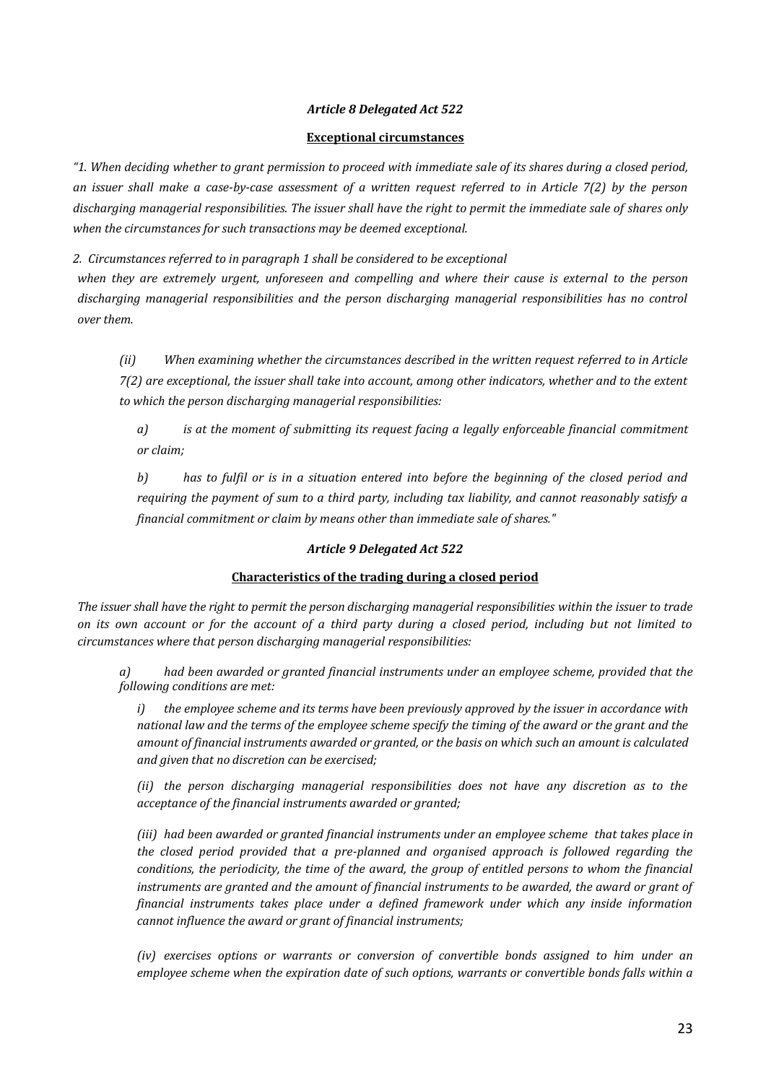## *Article 8 Delegated Act 522*

### **Exceptional circumstances**

*"1. When deciding whether to grant permission to proceed with immediate sale of its shares during a closed period, an issuer shall make a case-by-case assessment of a written request referred to in Article 7(2) by the person discharging managerial responsibilities. The issuer shall have the right to permit the immediate sale of shares only when the circumstances for such transactions may be deemed exceptional.*

*2. Circumstances referred to in paragraph 1 shall be considered to be exceptional*

*when they are extremely urgent, unforeseen and compelling and where their cause is external to the person discharging managerial responsibilities and the person discharging managerial responsibilities has no control over them.*

*(ii) When examining whether the circumstances described in the written request referred to in Article 7(2) are exceptional, the issuer shall take into account, among other indicators, whether and to the extent to which the person discharging managerial responsibilities:*

*a) is at the moment of submitting its request facing a legally enforceable financial commitment or claim;*

*b) has to fulfil or is in a situation entered into before the beginning of the closed period and requiring the payment of sum to a third party, including tax liability, and cannot reasonably satisfy a financial commitment or claim by means other than immediate sale of shares."*

## *Article 9 Delegated Act 522*

## **Characteristics of the trading during a closed period**

*The issuer shall have the right to permit the person discharging managerial responsibilities within the issuer to trade on its own account or for the account of a third party during a closed period, including but not limited to circumstances where that person discharging managerial responsibilities:*

*a) had been awarded or granted financial instruments under an employee scheme, provided that the following conditions are met:*

*i) the employee scheme and its terms have been previously approved by the issuer in accordance with national law and the terms of the employee scheme specify the timing of the award or the grant and the amount of financial instruments awarded or granted, or the basis on which such an amount is calculated and given that no discretion can be exercised;*

*(ii) the person discharging managerial responsibilities does not have any discretion as to the acceptance of the financial instruments awarded or granted;*

*(iii) had been awarded or granted financial instruments under an employee scheme that takes place in the closed period provided that a pre-planned and organised approach is followed regarding the conditions, the periodicity, the time of the award, the group of entitled persons to whom the financial instruments are granted and the amount of financial instruments to be awarded, the award or grant of financial instruments takes place under a defined framework under which any inside information cannot influence the award or grant of financial instruments;*

*(iv) exercises options or warrants or conversion of convertible bonds assigned to him under an employee scheme when the expiration date of such options, warrants or convertible bonds falls within a*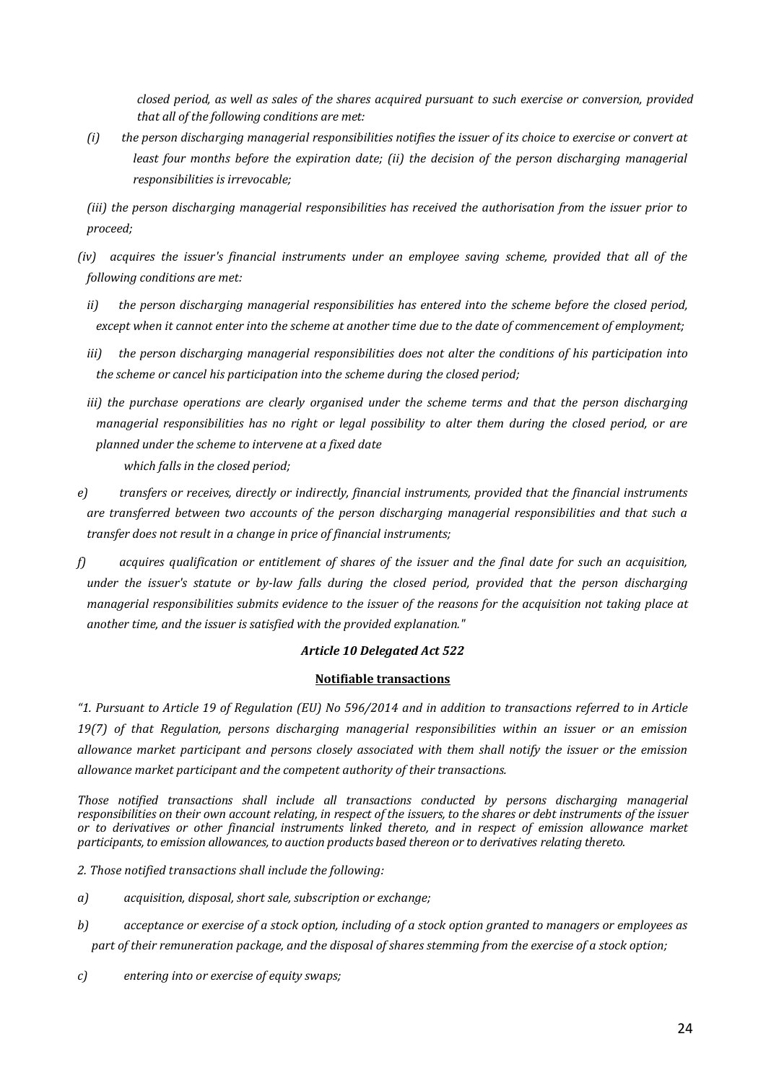*closed period, as well as sales of the shares acquired pursuant to such exercise or conversion, provided that all of the following conditions are met:*

*(i) the person discharging managerial responsibilities notifies the issuer of its choice to exercise or convert at least four months before the expiration date; (ii) the decision of the person discharging managerial responsibilities is irrevocable;*

*(iii) the person discharging managerial responsibilities has received the authorisation from the issuer prior to proceed;*

- *(iv) acquires the issuer's financial instruments under an employee saving scheme, provided that all of the following conditions are met:*
- *ii) the person discharging managerial responsibilities has entered into the scheme before the closed period, except when it cannot enter into the scheme at another time due to the date of commencement of employment;*
- *iii) the person discharging managerial responsibilities does not alter the conditions of his participation into the scheme or cancel his participation into the scheme during the closed period;*
- *iii) the purchase operations are clearly organised under the scheme terms and that the person discharging managerial responsibilities has no right or legal possibility to alter them during the closed period, or are planned under the scheme to intervene at a fixed date*

*which falls in the closed period;*

- *e) transfers or receives, directly or indirectly, financial instruments, provided that the financial instruments are transferred between two accounts of the person discharging managerial responsibilities and that such a transfer does not result in a change in price of financial instruments;*
- *f) acquires qualification or entitlement of shares of the issuer and the final date for such an acquisition, under the issuer's statute or by-law falls during the closed period, provided that the person discharging managerial responsibilities submits evidence to the issuer of the reasons for the acquisition not taking place at another time, and the issuer is satisfied with the provided explanation."*

## *Article 10 Delegated Act 522*

## **Notifiable transactions**

*"1. Pursuant to Article 19 of Regulation (EU) No 596/2014 and in addition to transactions referred to in Article 19(7) of that Regulation, persons discharging managerial responsibilities within an issuer or an emission allowance market participant and persons closely associated with them shall notify the issuer or the emission allowance market participant and the competent authority of their transactions.*

*Those notified transactions shall include all transactions conducted by persons discharging managerial responsibilities on their own account relating, in respect of the issuers, to the shares or debt instruments of the issuer or to derivatives or other financial instruments linked thereto, and in respect of emission allowance market participants, to emission allowances, to auction products based thereon or to derivatives relating thereto.*

*2. Those notified transactions shall include the following:*

- *a) acquisition, disposal, short sale, subscription or exchange;*
- *b) acceptance or exercise of a stock option, including of a stock option granted to managers or employees as part of their remuneration package, and the disposal of shares stemming from the exercise of a stock option;*
- *c) entering into or exercise of equity swaps;*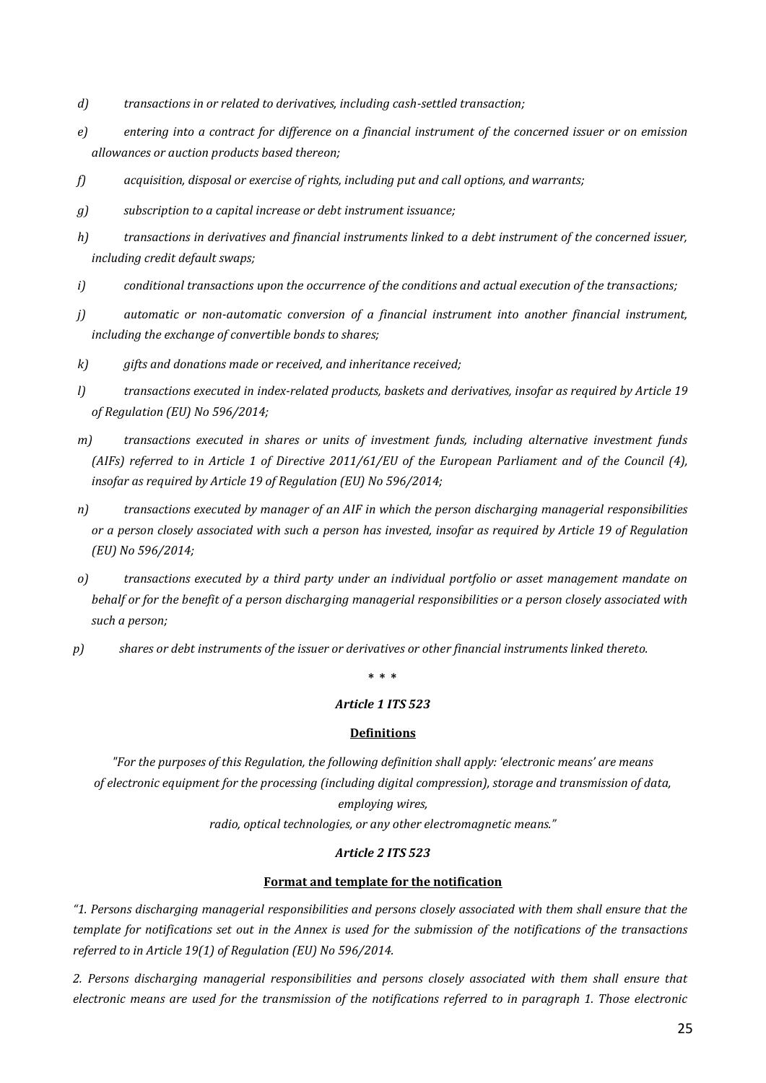- *d) transactions in or related to derivatives, including cash-settled transaction;*
- *e) entering into a contract for difference on a financial instrument of the concerned issuer or on emission allowances or auction products based thereon;*
- *f) acquisition, disposal or exercise of rights, including put and call options, and warrants;*
- *g) subscription to a capital increase or debt instrument issuance;*
- *h) transactions in derivatives and financial instruments linked to a debt instrument of the concerned issuer, including credit default swaps;*
- *i) conditional transactions upon the occurrence of the conditions and actual execution of the transactions;*
- *j) automatic or non-automatic conversion of a financial instrument into another financial instrument, including the exchange of convertible bonds to shares;*
- *k) gifts and donations made or received, and inheritance received;*
- *l) transactions executed in index-related products, baskets and derivatives, insofar as required by Article 19 of Regulation (EU) No 596/2014;*
- *m) transactions executed in shares or units of investment funds, including alternative investment funds (AIFs) referred to in Article 1 of Directive 2011/61/EU of the European Parliament and of the Council (4), insofar as required by Article 19 of Regulation (EU) No 596/2014;*
- *n) transactions executed by manager of an AIF in which the person discharging managerial responsibilities or a person closely associated with such a person has invested, insofar as required by Article 19 of Regulation (EU) No 596/2014;*
- *o) transactions executed by a third party under an individual portfolio or asset management mandate on behalf or for the benefit of a person discharging managerial responsibilities or a person closely associated with such a person;*
- *p) shares or debt instruments of the issuer or derivatives or other financial instruments linked thereto.*

**\* \* \***

### *Article 1 ITS 523*

#### **Definitions**

*"For the purposes of this Regulation, the following definition shall apply: 'electronic means' are means of electronic equipment for the processing (including digital compression), storage and transmission of data, employing wires,* 

*radio, optical technologies, or any other electromagnetic means."*

#### *Article 2 ITS 523*

### **Format and template for the notification**

*"1. Persons discharging managerial responsibilities and persons closely associated with them shall ensure that the template for notifications set out in the Annex is used for the submission of the notifications of the transactions referred to in Article 19(1) of Regulation (EU) No 596/2014.*

*2. Persons discharging managerial responsibilities and persons closely associated with them shall ensure that electronic means are used for the transmission of the notifications referred to in paragraph 1. Those electronic*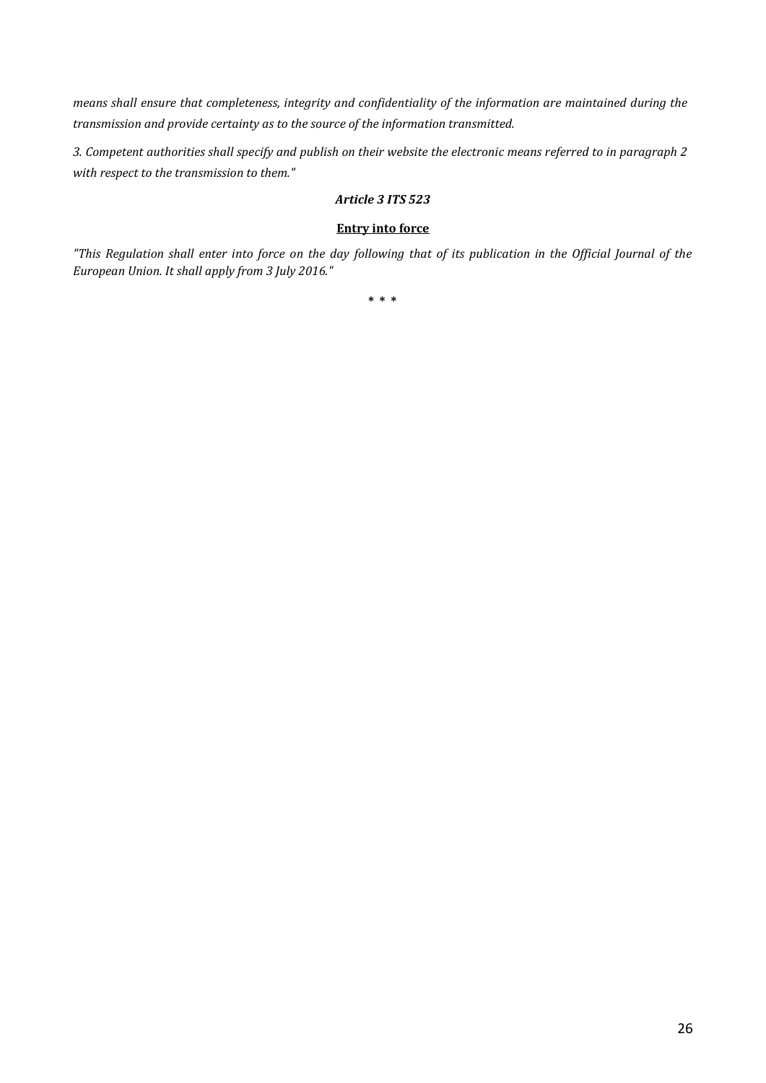*means shall ensure that completeness, integrity and confidentiality of the information are maintained during the transmission and provide certainty as to the source of the information transmitted.*

*3. Competent authorities shall specify and publish on their website the electronic means referred to in paragraph 2 with respect to the transmission to them."*

### *Article 3 ITS 523*

### **Entry into force**

*"This Regulation shall enter into force on the day following that of its publication in the Official Journal of the European Union. It shall apply from 3 July 2016."*

**\* \* \***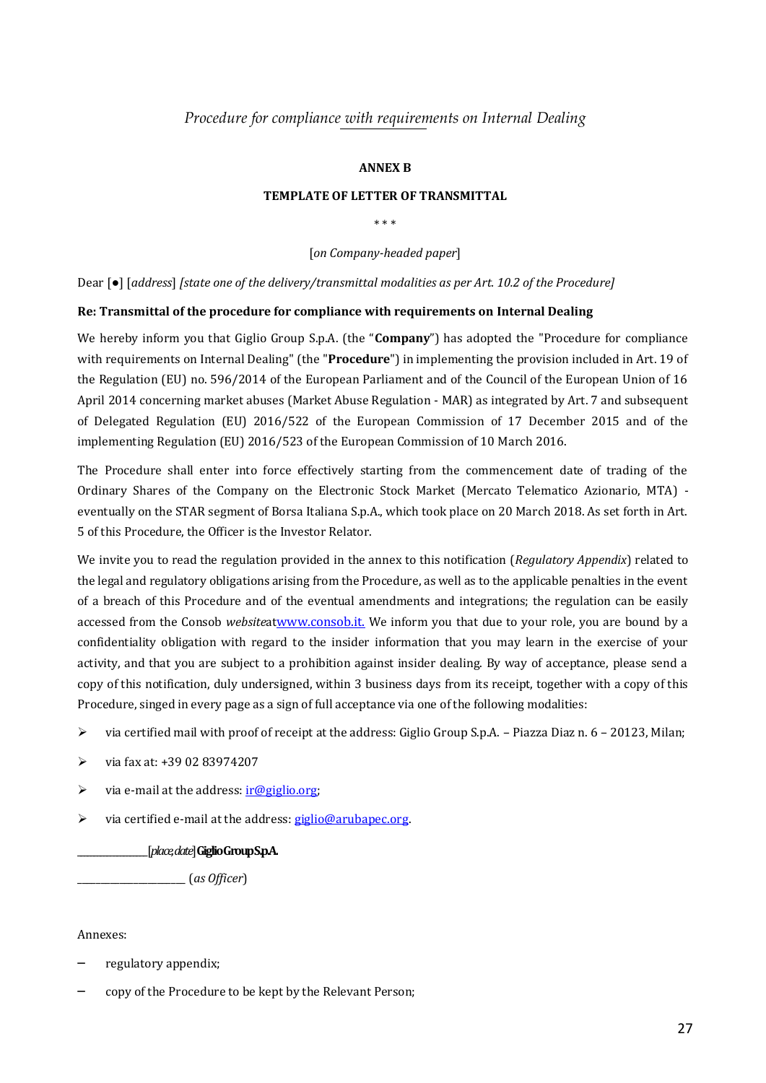# *Procedure for compliance with requirements on Internal Dealing*

### **ANNEX B**

#### **TEMPLATE OF LETTER OF TRANSMITTAL**

\* \* \*

#### [*on Company-headed paper*]

Dear [●] [*address*] *[state one of the delivery/transmittal modalities as per Art. 10.2 of the Procedure]*

#### **Re: Transmittal of the procedure for compliance with requirements on Internal Dealing**

We hereby inform you that Giglio Group S.p.A. (the "**Company**") has adopted the "Procedure for compliance with requirements on Internal Dealing" (the "**Procedure**") in implementing the provision included in Art. 19 of the Regulation (EU) no. 596/2014 of the European Parliament and of the Council of the European Union of 16 April 2014 concerning market abuses (Market Abuse Regulation - MAR) as integrated by Art. 7 and subsequent of Delegated Regulation (EU) 2016/522 of the European Commission of 17 December 2015 and of the implementing Regulation (EU) 2016/523 of the European Commission of 10 March 2016.

The Procedure shall enter into force effectively starting from the commencement date of trading of the Ordinary Shares of the Company on the Electronic Stock Market (Mercato Telematico Azionario, MTA) eventually on the STAR segment of Borsa Italiana S.p.A., which took place on 20 March 2018. As set forth in Art. 5 of this Procedure, the Officer is the Investor Relator.

We invite you to read the regulation provided in the annex to this notification (*Regulatory Appendix*) related to the legal and regulatory obligations arising from the Procedure, as well as to the applicable penalties in the event of a breach of this Procedure and of the eventual amendments and integrations; the regulation can be easily accessed from the Consob *websiteat[www.consob.it.](http://www.consob.it/)* We inform you that due to your role, you are bound by a confidentiality obligation with regard to the insider information that you may learn in the exercise of your activity, and that you are subject to a prohibition against insider dealing. By way of acceptance, please send a copy of this notification, duly undersigned, within 3 business days from its receipt, together with a copy of this Procedure, singed in every page as a sign of full acceptance via one of the following modalities:

- $\triangleright$  via certified mail with proof of receipt at the address: Giglio Group S.p.A. Piazza Diaz n. 6 20123, Milan;
- $\triangleright$  via fax at: +39 02 83974207
- $\triangleright$  via e-mail at the address: ir @giglio.org;
- ➢ via certified e-mail at the address: [giglio@arubapec.org.](mailto:giglio@arubapec.org)

#### \_\_\_\_\_\_\_\_\_\_\_\_\_\_\_\_\_\_\_\_\_ [*place, date*] **Giglio Group S.p.A.**

\_\_\_\_\_\_\_\_\_\_\_\_\_\_\_\_\_\_\_\_\_\_\_ (*as Officer*)

Annexes:

- regulatory appendix;
- copy of the Procedure to be kept by the Relevant Person;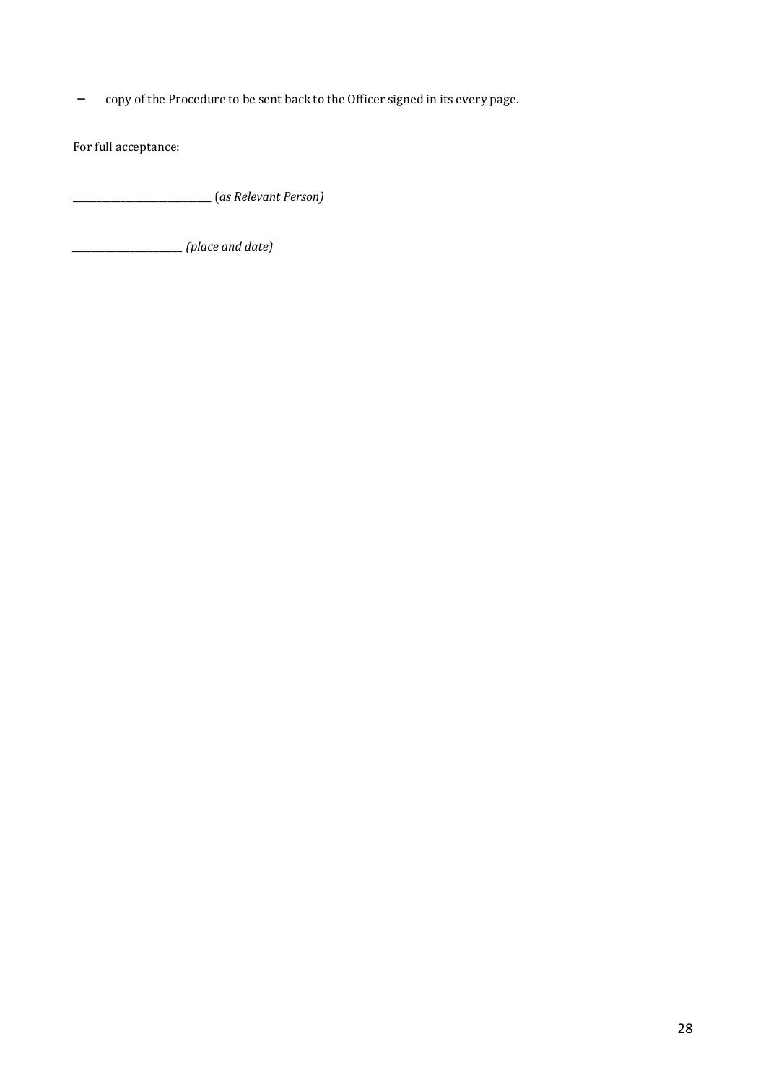– copy of the Procedure to be sent back to the Officer signed in its every page.

For full acceptance:

\_\_\_\_\_\_\_\_\_\_\_\_\_\_\_\_\_\_\_\_\_\_\_\_\_\_\_\_\_ (*as Relevant Person)*

*\_\_\_\_\_\_\_\_\_\_\_\_\_\_\_\_\_\_\_\_\_\_\_ (place and date)*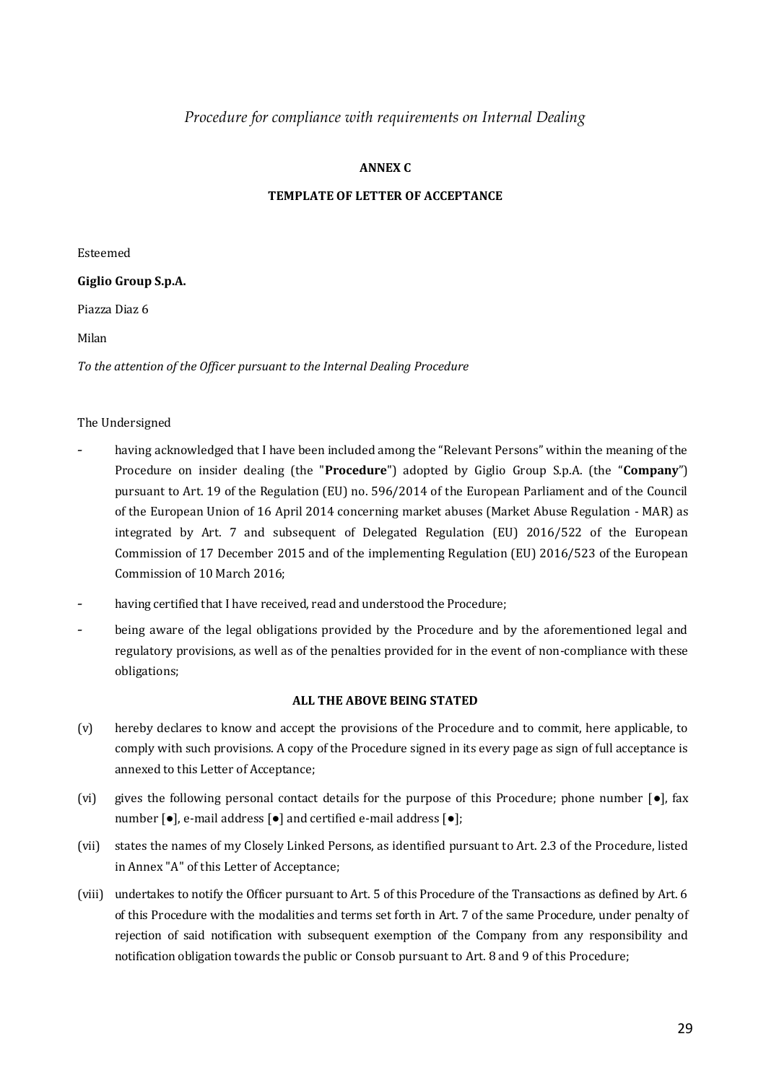# *Procedure for compliance with requirements on Internal Dealing*

### **ANNEX C**

### **TEMPLATE OF LETTER OF ACCEPTANCE**

#### Esteemed

### **Giglio Group S.p.A.**

Piazza Diaz 6

Milan

*To the attention of the Officer pursuant to the Internal Dealing Procedure*

### The Undersigned

- having acknowledged that I have been included among the "Relevant Persons" within the meaning of the Procedure on insider dealing (the "**Procedure**") adopted by Giglio Group S.p.A. (the "**Company**") pursuant to Art. 19 of the Regulation (EU) no. 596/2014 of the European Parliament and of the Council of the European Union of 16 April 2014 concerning market abuses (Market Abuse Regulation - MAR) as integrated by Art. 7 and subsequent of Delegated Regulation (EU) 2016/522 of the European Commission of 17 December 2015 and of the implementing Regulation (EU) 2016/523 of the European Commission of 10 March 2016;
- having certified that I have received, read and understood the Procedure;
- being aware of the legal obligations provided by the Procedure and by the aforementioned legal and regulatory provisions, as well as of the penalties provided for in the event of non-compliance with these obligations;

#### **ALL THE ABOVE BEING STATED**

- (v) hereby declares to know and accept the provisions of the Procedure and to commit, here applicable, to comply with such provisions. A copy of the Procedure signed in its every page as sign of full acceptance is annexed to this Letter of Acceptance;
- (vi) gives the following personal contact details for the purpose of this Procedure; phone number [*●*], fax number [*●*], e-mail address [*●*] and certified e-mail address [*●*];
- (vii) states the names of my Closely Linked Persons, as identified pursuant to Art. 2.3 of the Procedure, listed in Annex "A" of this Letter of Acceptance;
- (viii) undertakes to notify the Officer pursuant to Art. 5 of this Procedure of the Transactions as defined by Art. 6 of this Procedure with the modalities and terms set forth in Art. 7 of the same Procedure, under penalty of rejection of said notification with subsequent exemption of the Company from any responsibility and notification obligation towards the public or Consob pursuant to Art. 8 and 9 of this Procedure;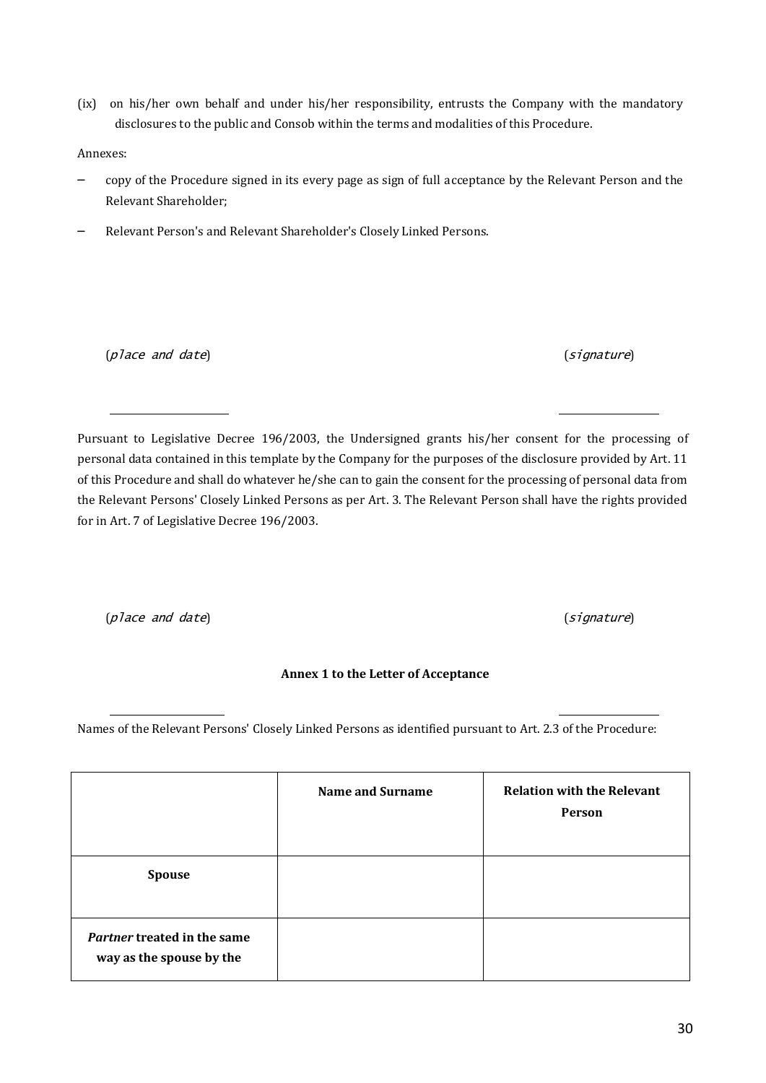30

(ix) on his/her own behalf and under his/her responsibility, entrusts the Company with the mandatory disclosures to the public and Consob within the terms and modalities of this Procedure.

Annexes:

- copy of the Procedure signed in its every page as sign of full acceptance by the Relevant Person and the Relevant Shareholder;
- Relevant Person's and Relevant Shareholder's Closely Linked Persons.

(place and date) (signature)

Pursuant to Legislative Decree 196/2003, the Undersigned grants his/her consent for the processing of personal data contained in this template by the Company for the purposes of the disclosure provided by Art. 11 of this Procedure and shall do whatever he/she can to gain the consent for the processing of personal data from the Relevant Persons' Closely Linked Persons as per Art. 3. The Relevant Person shall have the rights provided for in Art. 7 of Legislative Decree 196/2003.

(place and date) (signature)

# **Annex 1 to the Letter of Acceptance**

Names of the Relevant Persons' Closely Linked Persons as identified pursuant to Art. 2.3 of the Procedure:

|                                                         | <b>Name and Surname</b> | <b>Relation with the Relevant</b><br>Person |
|---------------------------------------------------------|-------------------------|---------------------------------------------|
| <b>Spouse</b>                                           |                         |                                             |
| Partner treated in the same<br>way as the spouse by the |                         |                                             |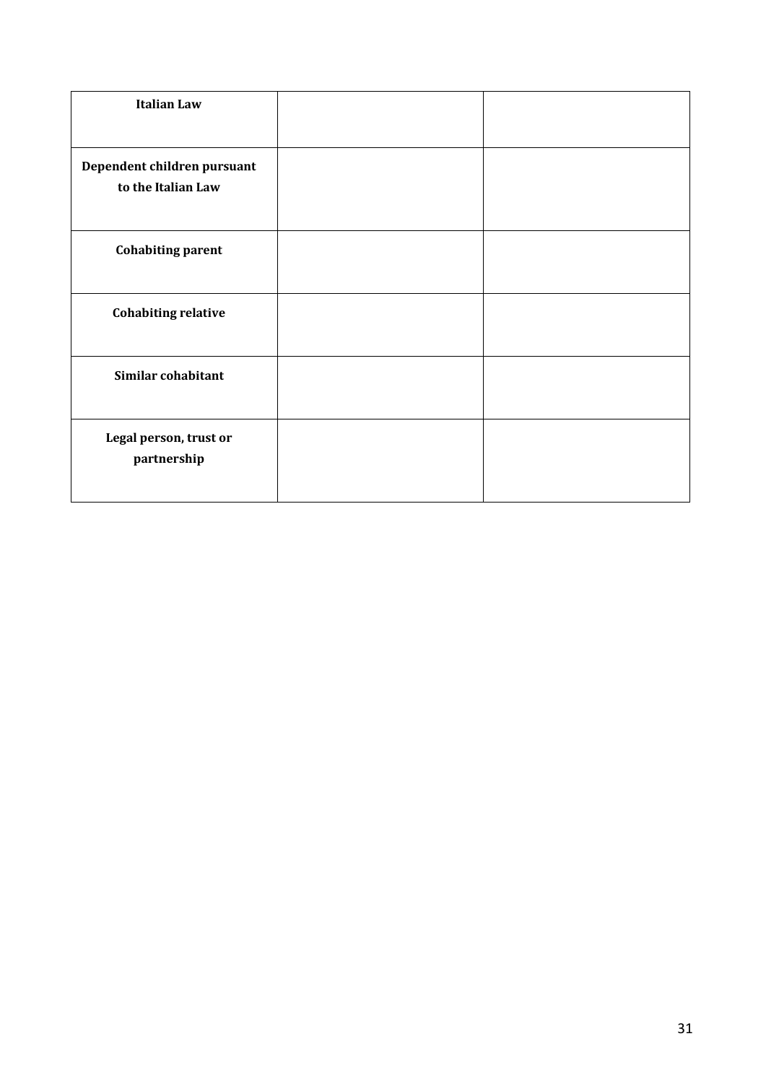| <b>Italian Law</b>                                |  |
|---------------------------------------------------|--|
| Dependent children pursuant<br>to the Italian Law |  |
| <b>Cohabiting parent</b>                          |  |
| <b>Cohabiting relative</b>                        |  |
| Similar cohabitant                                |  |
| Legal person, trust or<br>partnership             |  |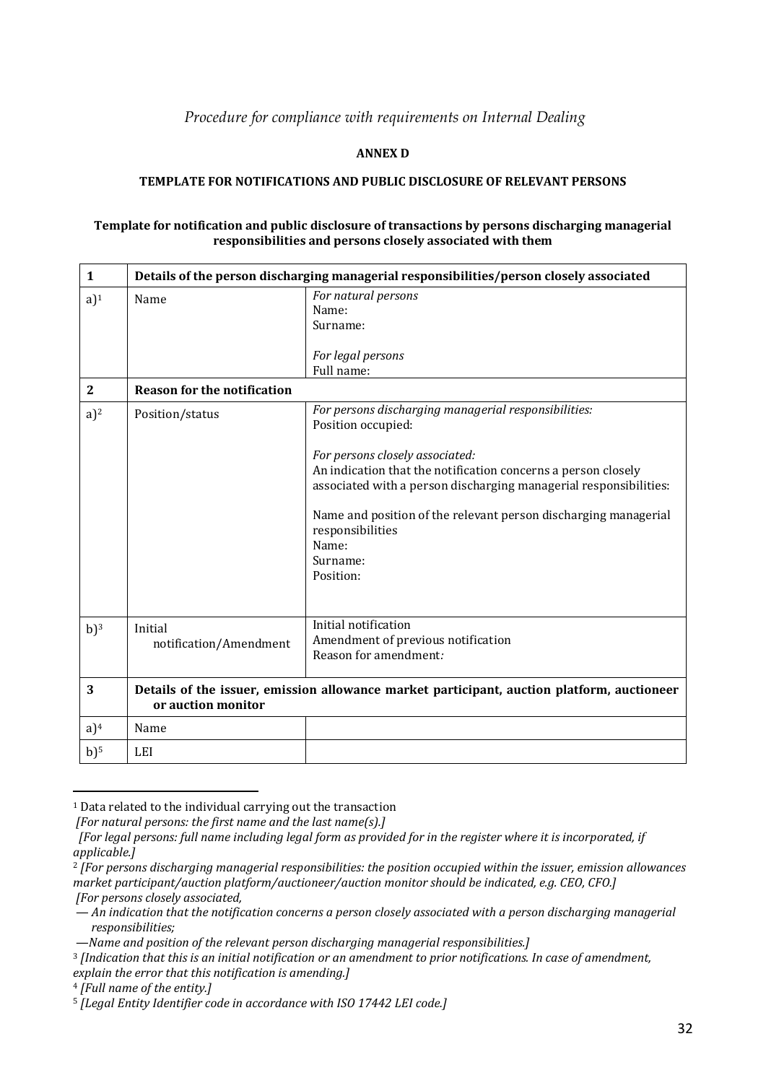# *Procedure for compliance with requirements on Internal Dealing*

### **ANNEX D**

### **TEMPLATE FOR NOTIFICATIONS AND PUBLIC DISCLOSURE OF RELEVANT PERSONS**

### **Template for notification and public disclosure of transactions by persons discharging managerial responsibilities and persons closely associated with them**

| $\mathbf{1}$       | Details of the person discharging managerial responsibilities/person closely associated                          |                                                                                                                                                                                                                                                                                                                                                                              |  |
|--------------------|------------------------------------------------------------------------------------------------------------------|------------------------------------------------------------------------------------------------------------------------------------------------------------------------------------------------------------------------------------------------------------------------------------------------------------------------------------------------------------------------------|--|
| $a)$ <sup>1</sup>  | Name                                                                                                             | For natural persons<br>Name:<br>Surname:<br>For legal persons<br>Full name:                                                                                                                                                                                                                                                                                                  |  |
| $\mathbf{2}$       | <b>Reason for the notification</b>                                                                               |                                                                                                                                                                                                                                                                                                                                                                              |  |
| $a$ <sup>2</sup>   | Position/status                                                                                                  | For persons discharging managerial responsibilities:<br>Position occupied:<br>For persons closely associated:<br>An indication that the notification concerns a person closely<br>associated with a person discharging managerial responsibilities:<br>Name and position of the relevant person discharging managerial<br>responsibilities<br>Name:<br>Surname:<br>Position: |  |
| $b)$ <sup>3</sup>  | Initial<br>notification/Amendment                                                                                | Initial notification<br>Amendment of previous notification<br>Reason for amendment:                                                                                                                                                                                                                                                                                          |  |
| 3                  | Details of the issuer, emission allowance market participant, auction platform, auctioneer<br>or auction monitor |                                                                                                                                                                                                                                                                                                                                                                              |  |
| $a)^4$             | Name                                                                                                             |                                                                                                                                                                                                                                                                                                                                                                              |  |
| $b$ ) <sup>5</sup> | <b>LEI</b>                                                                                                       |                                                                                                                                                                                                                                                                                                                                                                              |  |

<sup>1</sup> Data related to the individual carrying out the transaction

*<sup>[</sup>For natural persons: the first name and the last name(s).]* 

 *<sup>[</sup>For legal persons: full name including legal form as provided for in the register where it is incorporated, if applicable.]*

<sup>2</sup> *[For persons discharging managerial responsibilities: the position occupied within the issuer, emission allowances market participant/auction platform/auctioneer/auction monitor should be indicated, e.g. CEO, CFO.] [For persons closely associated,*

<sup>—</sup> *An indication that the notification concerns a person closely associated with a person discharging managerial responsibilities;* 

<sup>—</sup>*Name and position of the relevant person discharging managerial responsibilities.]*

<sup>3</sup> *[Indication that this is an initial notification or an amendment to prior notifications. In case of amendment, explain the error that this notification is amending.]*

<sup>4</sup> *[Full name of the entity.]*

<sup>5</sup> *[Legal Entity Identifier code in accordance with ISO 17442 LEI code.]*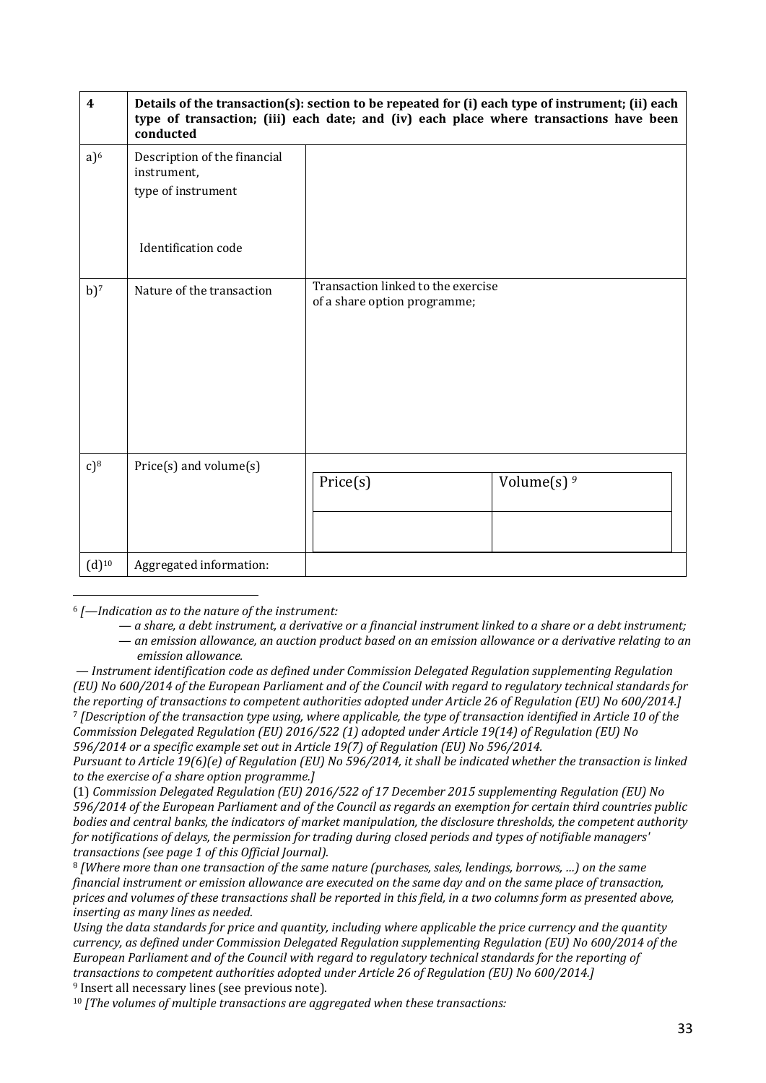| 4                  | Details of the transaction(s): section to be repeated for (i) each type of instrument; (ii) each<br>type of transaction; (iii) each date; and (iv) each place where transactions have been<br>conducted |                                                                    |                           |
|--------------------|---------------------------------------------------------------------------------------------------------------------------------------------------------------------------------------------------------|--------------------------------------------------------------------|---------------------------|
| $a)$ <sup>6</sup>  | Description of the financial<br>instrument,<br>type of instrument                                                                                                                                       |                                                                    |                           |
|                    | Identification code                                                                                                                                                                                     |                                                                    |                           |
| $b$ ) <sup>7</sup> | Nature of the transaction                                                                                                                                                                               | Transaction linked to the exercise<br>of a share option programme; |                           |
| $c$ ) <sup>8</sup> | Price(s) and volume(s)                                                                                                                                                                                  | Price(s)                                                           | Volume $(s)$ <sup>9</sup> |
| $(d)^{10}$         | Aggregated information:                                                                                                                                                                                 |                                                                    |                           |

<sup>6</sup> *[—Indication as to the nature of the instrument:* 

*— Instrument identification code as defined under Commission Delegated Regulation supplementing Regulation (EU) No 600/2014 of the European Parliament and of the Council with regard to regulatory technical standards for the reporting of transactions to competent authorities adopted under Article 26 of Regulation (EU) No 600/2014.]* <sup>7</sup> *[Description of the transaction type using, where applicable, the type of transaction identified in Article 10 of the Commission Delegated Regulation (EU) 2016/522 (1) adopted under Article 19(14) of Regulation (EU) No 596/2014 or a specific example set out in Article 19(7) of Regulation (EU) No 596/2014.* 

*Pursuant to Article 19(6)(e) of Regulation (EU) No 596/2014, it shall be indicated whether the transaction is linked to the exercise of a share option programme.]*

(1) *Commission Delegated Regulation (EU) 2016/522 of 17 December 2015 supplementing Regulation (EU) No 596/2014 of the European Parliament and of the Council as regards an exemption for certain third countries public bodies and central banks, the indicators of market manipulation, the disclosure thresholds, the competent authority for notifications of delays, the permission for trading during closed periods and types of notifiable managers' transactions (see page 1 of this Official Journal).*

<sup>8</sup> *[Where more than one transaction of the same nature (purchases, sales, lendings, borrows, …) on the same financial instrument or emission allowance are executed on the same day and on the same place of transaction, prices and volumes of these transactions shall be reported in this field, in a two columns form as presented above, inserting as many lines as needed.* 

*Using the data standards for price and quantity, including where applicable the price currency and the quantity currency, as defined under Commission Delegated Regulation supplementing Regulation (EU) No 600/2014 of the European Parliament and of the Council with regard to regulatory technical standards for the reporting of transactions to competent authorities adopted under Article 26 of Regulation (EU) No 600/2014.]* <sup>9</sup> Insert all necessary lines (see previous note).

<sup>10</sup> *[The volumes of multiple transactions are aggregated when these transactions:* 

*<sup>—</sup> a share, a debt instrument, a derivative or a financial instrument linked to a share or a debt instrument;*  — *an emission allowance, an auction product based on an emission allowance or a derivative relating to an emission allowance.*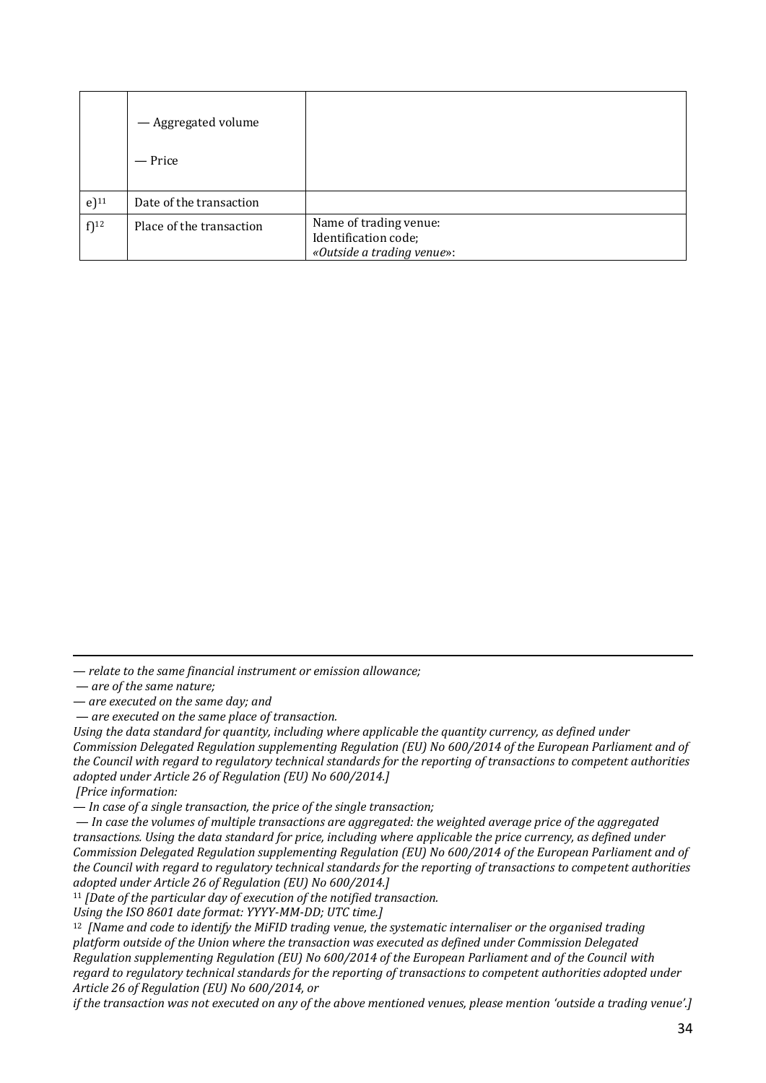|                    | - Aggregated volume<br>— Price |                                                                              |
|--------------------|--------------------------------|------------------------------------------------------------------------------|
| $e)$ <sup>11</sup> | Date of the transaction        |                                                                              |
| $f$ <sup>12</sup>  | Place of the transaction       | Name of trading venue:<br>Identification code;<br>«Outside a trading venue»: |

— *relate to the same financial instrument or emission allowance;* 

— *are of the same nature;* 

— *are executed on the same day; and*

— *are executed on the same place of transaction.* 

*Using the data standard for quantity, including where applicable the quantity currency, as defined under Commission Delegated Regulation supplementing Regulation (EU) No 600/2014 of the European Parliament and of the Council with regard to regulatory technical standards for the reporting of transactions to competent authorities adopted under Article 26 of Regulation (EU) No 600/2014.]*

*[Price information:* 

— *In case of a single transaction, the price of the single transaction;*

— *In case the volumes of multiple transactions are aggregated: the weighted average price of the aggregated transactions. Using the data standard for price, including where applicable the price currency, as defined under Commission Delegated Regulation supplementing Regulation (EU) No 600/2014 of the European Parliament and of the Council with regard to regulatory technical standards for the reporting of transactions to competent authorities adopted under Article 26 of Regulation (EU) No 600/2014.]*

<sup>11</sup> *[Date of the particular day of execution of the notified transaction.* 

*Using the ISO 8601 date format: YYYY-MM-DD; UTC time.]*

<sup>12</sup> *[Name and code to identify the MiFID trading venue, the systematic internaliser or the organised trading platform outside of the Union where the transaction was executed as defined under Commission Delegated Regulation supplementing Regulation (EU) No 600/2014 of the European Parliament and of the Council with regard to regulatory technical standards for the reporting of transactions to competent authorities adopted under Article 26 of Regulation (EU) No 600/2014, or* 

*if the transaction was not executed on any of the above mentioned venues, please mention 'outside a trading venue'.]*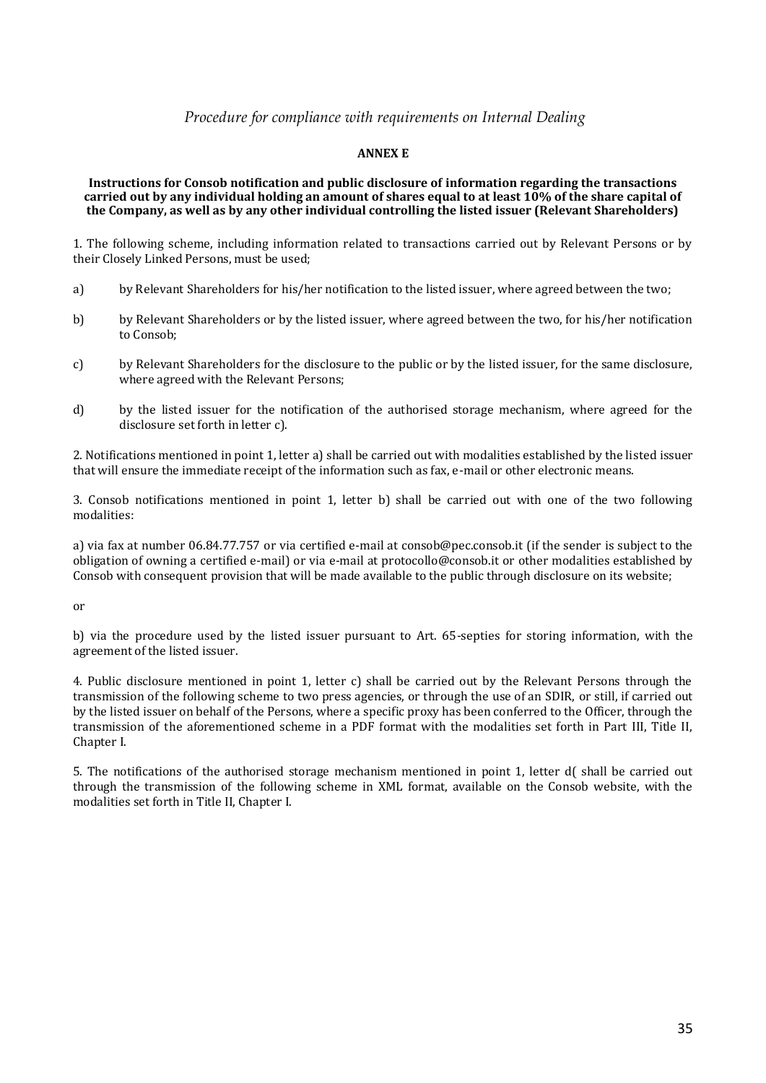# *Procedure for compliance with requirements on Internal Dealing*

### **ANNEX E**

#### **Instructions for Consob notification and public disclosure of information regarding the transactions carried out by any individual holding an amount of shares equal to at least 10% of the share capital of the Company, as well as by any other individual controlling the listed issuer (Relevant Shareholders)**

1. The following scheme, including information related to transactions carried out by Relevant Persons or by their Closely Linked Persons, must be used;

- a) by Relevant Shareholders for his/her notification to the listed issuer, where agreed between the two;
- b) by Relevant Shareholders or by the listed issuer, where agreed between the two, for his/her notification to Consob;
- c) by Relevant Shareholders for the disclosure to the public or by the listed issuer, for the same disclosure, where agreed with the Relevant Persons;
- d) by the listed issuer for the notification of the authorised storage mechanism, where agreed for the disclosure set forth in letter c).

2. Notifications mentioned in point 1, letter a) shall be carried out with modalities established by the listed issuer that will ensure the immediate receipt of the information such as fax, e-mail or other electronic means.

3. Consob notifications mentioned in point 1, letter b) shall be carried out with one of the two following modalities:

a) via fax at number 06.84.77.757 or via certified e-mail at [consob@pec.consob.it](mailto:consob@pec.consob.it) (if the sender is subject to the obligation of owning a certified e-mail) or via e-mail at [protocollo@consob.it](mailto:protocollo@consob.it) or other modalities established by Consob with consequent provision that will be made available to the public through disclosure on its website;

or

b) via the procedure used by the listed issuer pursuant to Art. 65-septies for storing information, with the agreement of the listed issuer.

4. Public disclosure mentioned in point 1, letter c) shall be carried out by the Relevant Persons through the transmission of the following scheme to two press agencies, or through the use of an SDIR, or still, if carried out by the listed issuer on behalf of the Persons, where a specific proxy has been conferred to the Officer, through the transmission of the aforementioned scheme in a PDF format with the modalities set forth in Part III, Title II, Chapter I.

5. The notifications of the authorised storage mechanism mentioned in point 1, letter d( shall be carried out through the transmission of the following scheme in XML format, available on the Consob website, with the modalities set forth in Title II, Chapter I.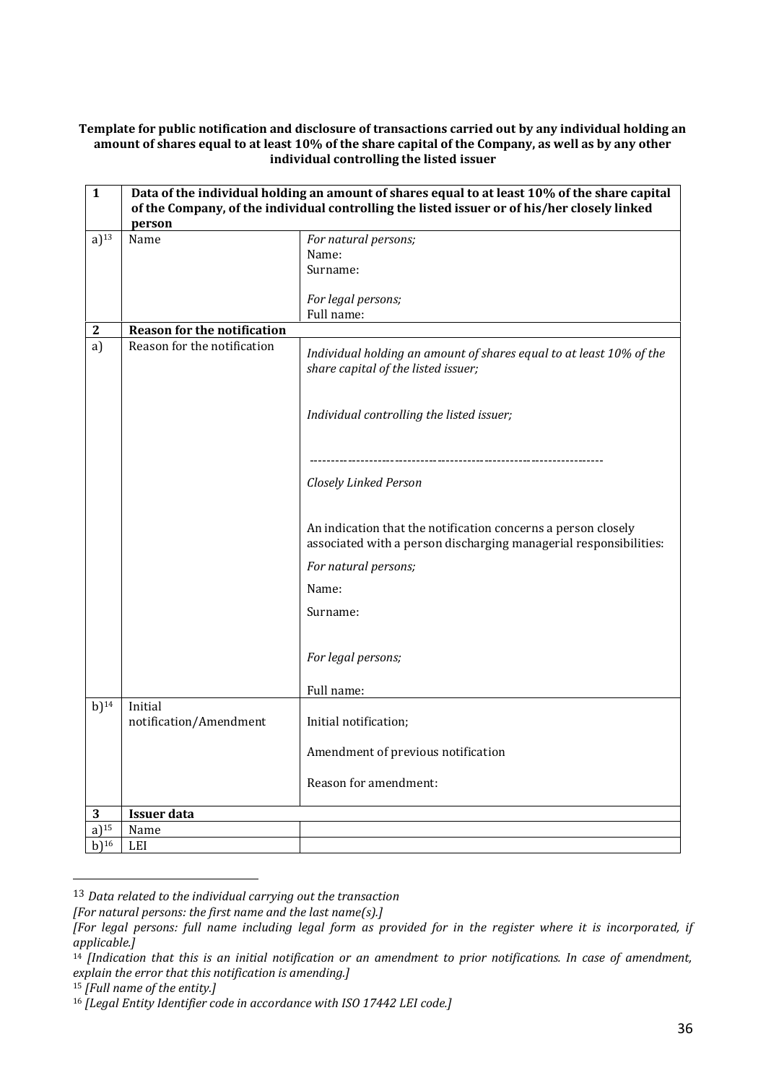## **Template for public notification and disclosure of transactions carried out by any individual holding an amount of shares equal to at least 10% of the share capital of the Company, as well as by any other individual controlling the listed issuer**

| $\mathbf{1}$       | Data of the individual holding an amount of shares equal to at least 10% of the share capital<br>of the Company, of the individual controlling the listed issuer or of his/her closely linked<br>person |                                                                                                                                    |  |  |
|--------------------|---------------------------------------------------------------------------------------------------------------------------------------------------------------------------------------------------------|------------------------------------------------------------------------------------------------------------------------------------|--|--|
|                    |                                                                                                                                                                                                         |                                                                                                                                    |  |  |
| $a)$ <sup>13</sup> | Name                                                                                                                                                                                                    | For natural persons;                                                                                                               |  |  |
|                    |                                                                                                                                                                                                         | Name:                                                                                                                              |  |  |
|                    |                                                                                                                                                                                                         | Surname:                                                                                                                           |  |  |
|                    |                                                                                                                                                                                                         |                                                                                                                                    |  |  |
|                    |                                                                                                                                                                                                         | For legal persons;                                                                                                                 |  |  |
|                    |                                                                                                                                                                                                         | Full name:                                                                                                                         |  |  |
| $\boldsymbol{2}$   | <b>Reason for the notification</b>                                                                                                                                                                      |                                                                                                                                    |  |  |
| a)                 | Reason for the notification                                                                                                                                                                             | Individual holding an amount of shares equal to at least 10% of the<br>share capital of the listed issuer;                         |  |  |
|                    |                                                                                                                                                                                                         | Individual controlling the listed issuer;                                                                                          |  |  |
|                    |                                                                                                                                                                                                         | Closely Linked Person                                                                                                              |  |  |
|                    |                                                                                                                                                                                                         | An indication that the notification concerns a person closely<br>associated with a person discharging managerial responsibilities: |  |  |
|                    |                                                                                                                                                                                                         | For natural persons;                                                                                                               |  |  |
|                    |                                                                                                                                                                                                         | Name:                                                                                                                              |  |  |
|                    |                                                                                                                                                                                                         | Surname:                                                                                                                           |  |  |
|                    |                                                                                                                                                                                                         |                                                                                                                                    |  |  |
|                    |                                                                                                                                                                                                         | For legal persons;                                                                                                                 |  |  |
|                    |                                                                                                                                                                                                         | Full name:                                                                                                                         |  |  |
| $b)$ <sup>14</sup> | Initial                                                                                                                                                                                                 |                                                                                                                                    |  |  |
|                    | notification/Amendment                                                                                                                                                                                  | Initial notification;                                                                                                              |  |  |
|                    |                                                                                                                                                                                                         | Amendment of previous notification                                                                                                 |  |  |
|                    |                                                                                                                                                                                                         | Reason for amendment:                                                                                                              |  |  |
| 3                  | <b>Issuer data</b>                                                                                                                                                                                      |                                                                                                                                    |  |  |
| $a)$ <sup>15</sup> | Name                                                                                                                                                                                                    |                                                                                                                                    |  |  |
| $b)$ <sup>16</sup> | LEI                                                                                                                                                                                                     |                                                                                                                                    |  |  |
|                    |                                                                                                                                                                                                         |                                                                                                                                    |  |  |

<sup>13</sup> *Data related to the individual carrying out the transaction*

*<sup>[</sup>For natural persons: the first name and the last name(s).]* 

*<sup>[</sup>For legal persons: full name including legal form as provided for in the register where it is incorporated, if applicable.]*

<sup>&</sup>lt;sup>14</sup> *[Indication that this is an initial notification or an amendment to prior notifications. In case of amendment, explain the error that this notification is amending.]*

<sup>15</sup> *[Full name of the entity.]*

<sup>16</sup> *[Legal Entity Identifier code in accordance with ISO 17442 LEI code.]*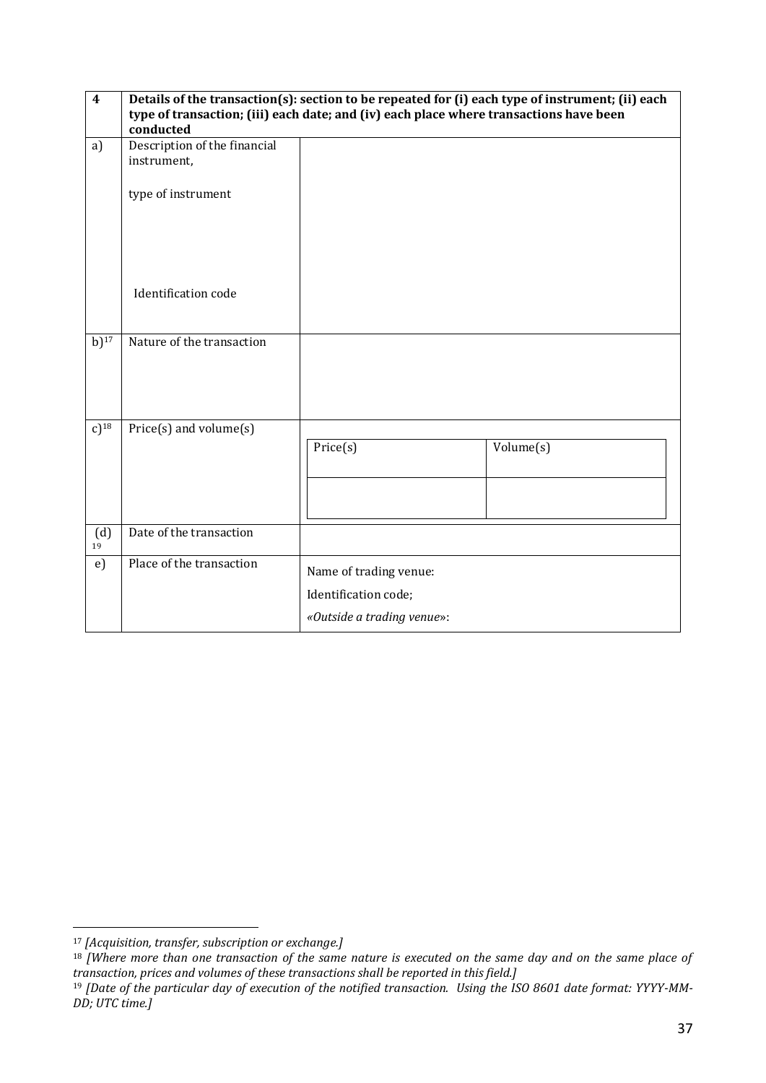| type of transaction; (iii) each date; and (iv) each place where transactions have been<br>conducted<br>Description of the financial<br>a)<br>instrument,<br>type of instrument |  |
|--------------------------------------------------------------------------------------------------------------------------------------------------------------------------------|--|
|                                                                                                                                                                                |  |
|                                                                                                                                                                                |  |
|                                                                                                                                                                                |  |
|                                                                                                                                                                                |  |
|                                                                                                                                                                                |  |
|                                                                                                                                                                                |  |
|                                                                                                                                                                                |  |
|                                                                                                                                                                                |  |
| Identification code                                                                                                                                                            |  |
|                                                                                                                                                                                |  |
|                                                                                                                                                                                |  |
| $b)$ <sup>17</sup><br>Nature of the transaction                                                                                                                                |  |
|                                                                                                                                                                                |  |
|                                                                                                                                                                                |  |
|                                                                                                                                                                                |  |
| $c)$ <sup>18</sup><br>$Price(s)$ and volume $(s)$                                                                                                                              |  |
| Price(s)<br>Volume(s)                                                                                                                                                          |  |
|                                                                                                                                                                                |  |
|                                                                                                                                                                                |  |
|                                                                                                                                                                                |  |
| Date of the transaction<br>(d)<br>19                                                                                                                                           |  |
|                                                                                                                                                                                |  |
| Place of the transaction<br>e)<br>Name of trading venue:                                                                                                                       |  |
| Identification code;                                                                                                                                                           |  |

<sup>17</sup> *[Acquisition, transfer, subscription or exchange.]*

<sup>18</sup> *[Where more than one transaction of the same nature is executed on the same day and on the same place of transaction, prices and volumes of these transactions shall be reported in this field.]* 

<sup>19</sup> *[Date of the particular day of execution of the notified transaction. Using the ISO 8601 date format: YYYY-MM-DD; UTC time.]*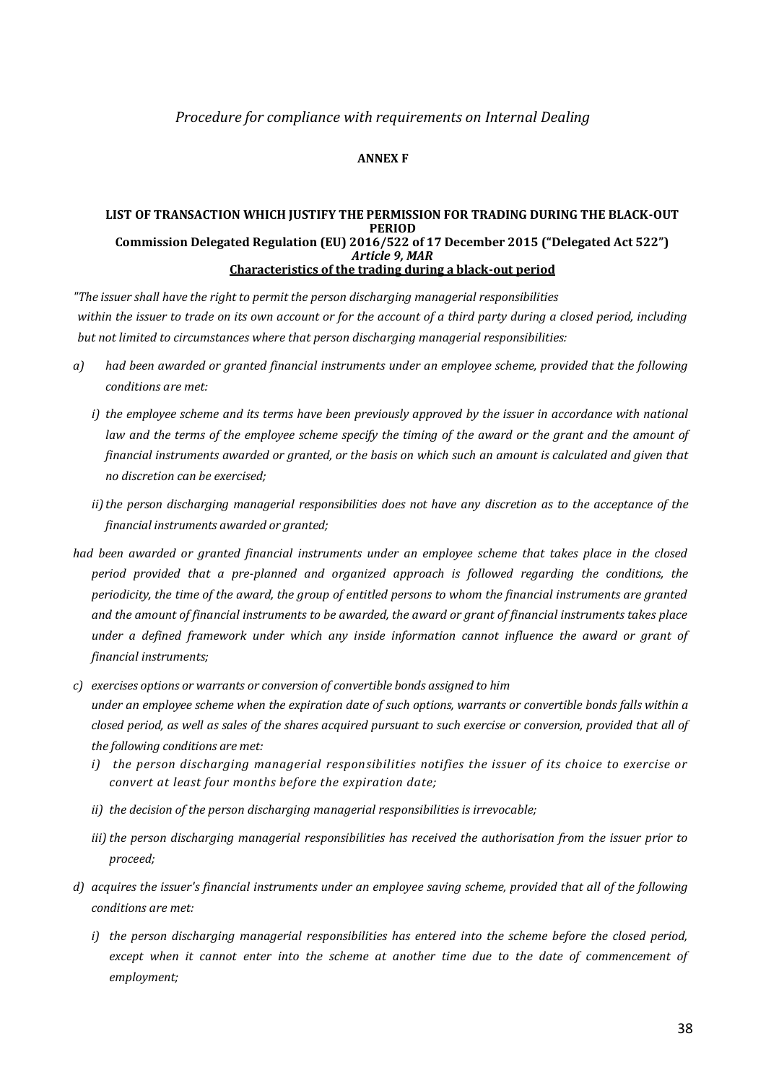# *Procedure for compliance with requirements on Internal Dealing*

### **ANNEX F**

#### **LIST OF TRANSACTION WHICH JUSTIFY THE PERMISSION FOR TRADING DURING THE BLACK-OUT PERIOD Commission Delegated Regulation (EU) 2016/522 of 17 December 2015 ("Delegated Act 522")** *Article 9, MAR*  **Characteristics of the trading during a black-out period**

*"The issuer shall have the right to permit the person discharging managerial responsibilities within the issuer to trade on its own account or for the account of a third party during a closed period, including but not limited to circumstances where that person discharging managerial responsibilities:*

- *a) had been awarded or granted financial instruments under an employee scheme, provided that the following conditions are met:*
	- *i)* the employee scheme and its terms have been previously approved by the issuer in accordance with national law and the terms of the employee scheme specify the timing of the award or the grant and the amount of *financial instruments awarded or granted, or the basis on which such an amount is calculated and given that no discretion can be exercised;*
	- *ii)* the person discharging managerial responsibilities does not have any discretion as to the acceptance of the *financial instruments awarded or granted;*
- *had been awarded or granted financial instruments under an employee scheme that takes place in the closed period provided that a pre-planned and organized approach is followed regarding the conditions, the periodicity, the time of the award, the group of entitled persons to whom the financial instruments are granted and the amount of financial instruments to be awarded, the award or grant of financial instruments takes place under a defined framework under which any inside information cannot influence the award or grant of financial instruments;*
- *c) exercises options or warrants or conversion of convertible bonds assigned to him under an employee scheme when the expiration date of such options, warrants or convertible bonds falls within a closed period, as well as sales of the shares acquired pursuant to such exercise or conversion, provided that all of the following conditions are met:*
	- *i) the person discharging managerial responsibilities notifies the issuer of its choice to exercise or convert at least four months before the expiration date;*
	- *ii) the decision of the person discharging managerial responsibilities is irrevocable;*
	- *iii) the person discharging managerial responsibilities has received the authorisation from the issuer prior to proceed;*
- *d) acquires the issuer's financial instruments under an employee saving scheme, provided that all of the following conditions are met:*
	- *i*) the person discharging managerial responsibilities has entered into the scheme before the closed period, *except when it cannot enter into the scheme at another time due to the date of commencement of employment;*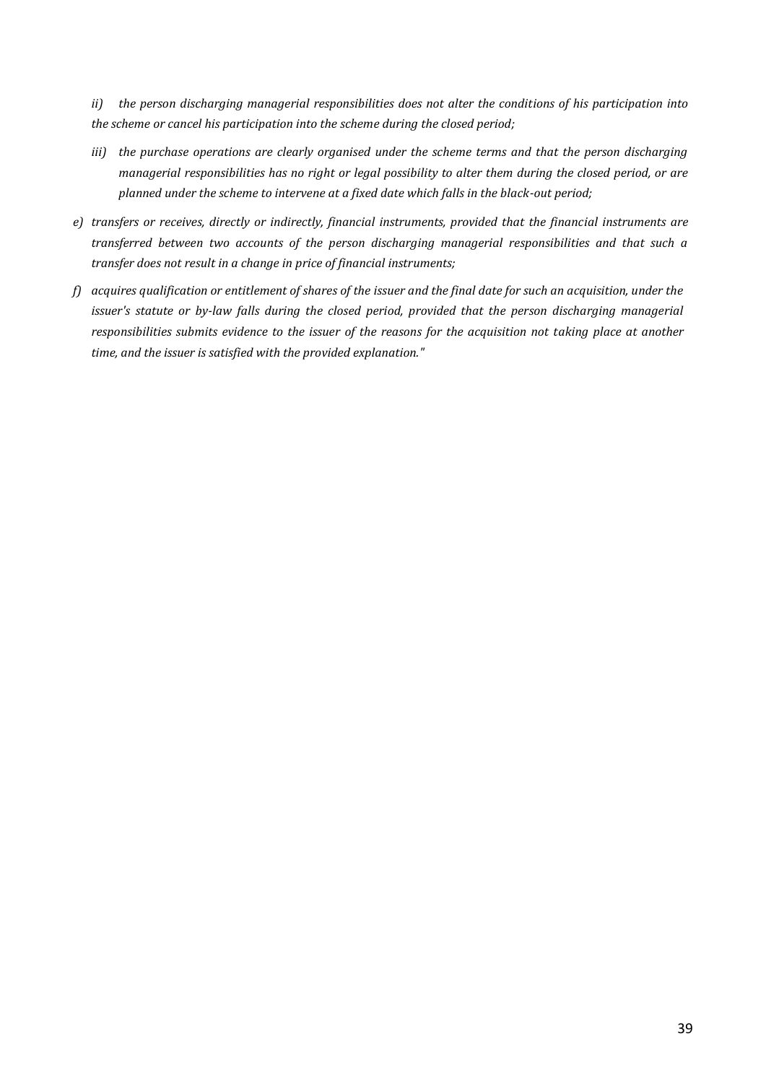*ii) the person discharging managerial responsibilities does not alter the conditions of his participation into the scheme or cancel his participation into the scheme during the closed period;*

- *iii) the purchase operations are clearly organised under the scheme terms and that the person discharging managerial responsibilities has no right or legal possibility to alter them during the closed period, or are planned under the scheme to intervene at a fixed date which falls in the black-out period;*
- *e) transfers or receives, directly or indirectly, financial instruments, provided that the financial instruments are transferred between two accounts of the person discharging managerial responsibilities and that such a transfer does not result in a change in price of financial instruments;*
- *f) acquires qualification or entitlement of shares of the issuer and the final date for such an acquisition, under the issuer's statute or by-law falls during the closed period, provided that the person discharging managerial responsibilities submits evidence to the issuer of the reasons for the acquisition not taking place at another time, and the issuer is satisfied with the provided explanation."*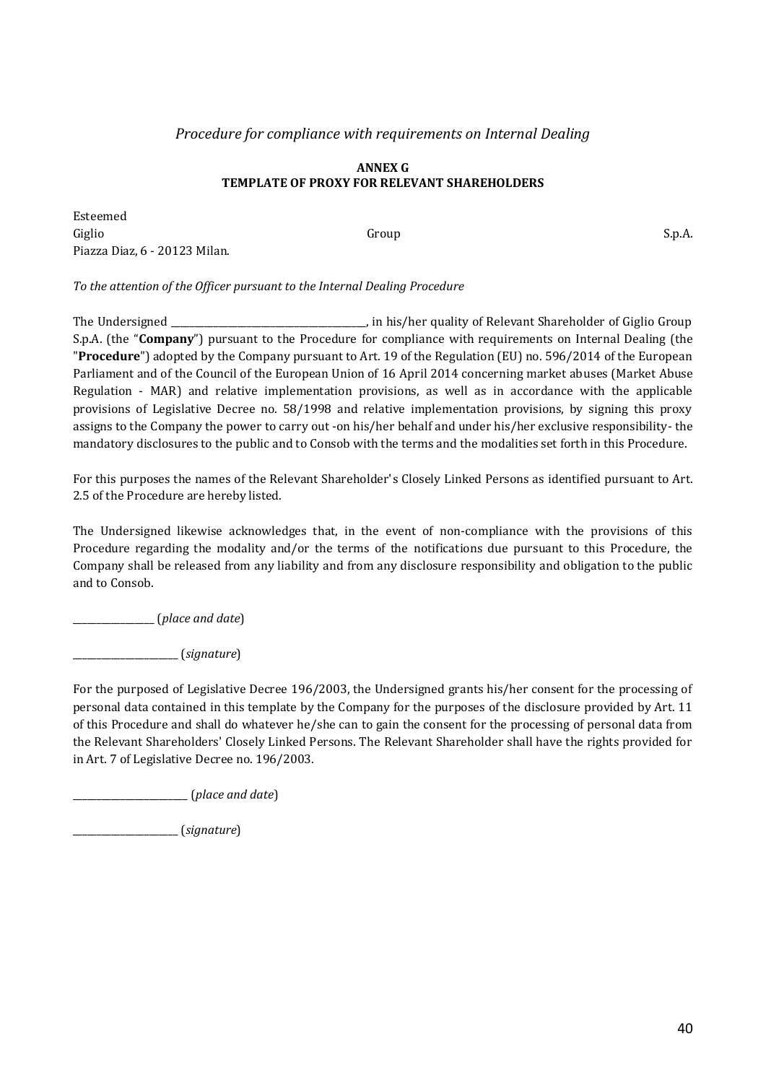# *Procedure for compliance with requirements on Internal Dealing*

### **ANNEX G TEMPLATE OF PROXY FOR RELEVANT SHAREHOLDERS**

Esteemed Giglio Group S.p.A. Piazza Diaz, 6 - 20123 Milan.

*To the attention of the Officer pursuant to the Internal Dealing Procedure* 

The Undersigned \_\_\_\_\_\_\_\_\_\_\_\_\_\_\_\_\_\_\_\_\_\_\_\_\_\_\_\_\_\_\_\_\_\_\_\_\_\_\_\_\_, in his/her quality of Relevant Shareholder of Giglio Group S.p.A. (the "**Company**") pursuant to the Procedure for compliance with requirements on Internal Dealing (the "**Procedure**") adopted by the Company pursuant to Art. 19 of the Regulation (EU) no. 596/2014 of the European Parliament and of the Council of the European Union of 16 April 2014 concerning market abuses (Market Abuse Regulation - MAR) and relative implementation provisions, as well as in accordance with the applicable provisions of Legislative Decree no. 58/1998 and relative implementation provisions, by signing this proxy assigns to the Company the power to carry out -on his/her behalf and under his/her exclusive responsibility- the mandatory disclosures to the public and to Consob with the terms and the modalities set forth in this Procedure.

For this purposes the names of the Relevant Shareholder's Closely Linked Persons as identified pursuant to Art. 2.5 of the Procedure are hereby listed.

The Undersigned likewise acknowledges that, in the event of non-compliance with the provisions of this Procedure regarding the modality and/or the terms of the notifications due pursuant to this Procedure, the Company shall be released from any liability and from any disclosure responsibility and obligation to the public and to Consob.

\_\_\_\_\_\_\_\_\_\_\_\_\_\_\_\_\_ (*place and date*)

\_\_\_\_\_\_\_\_\_\_\_\_\_\_\_\_\_\_\_\_\_\_ (*signature*)

For the purposed of Legislative Decree 196/2003, the Undersigned grants his/her consent for the processing of personal data contained in this template by the Company for the purposes of the disclosure provided by Art. 11 of this Procedure and shall do whatever he/she can to gain the consent for the processing of personal data from the Relevant Shareholders' Closely Linked Persons. The Relevant Shareholder shall have the rights provided for in Art. 7 of Legislative Decree no. 196/2003.

\_\_\_\_\_\_\_\_\_\_\_\_\_\_\_\_\_\_\_\_\_\_\_\_ (*place and date*)

\_\_\_\_\_\_\_\_\_\_\_\_\_\_\_\_\_\_\_\_\_\_ (*signature*)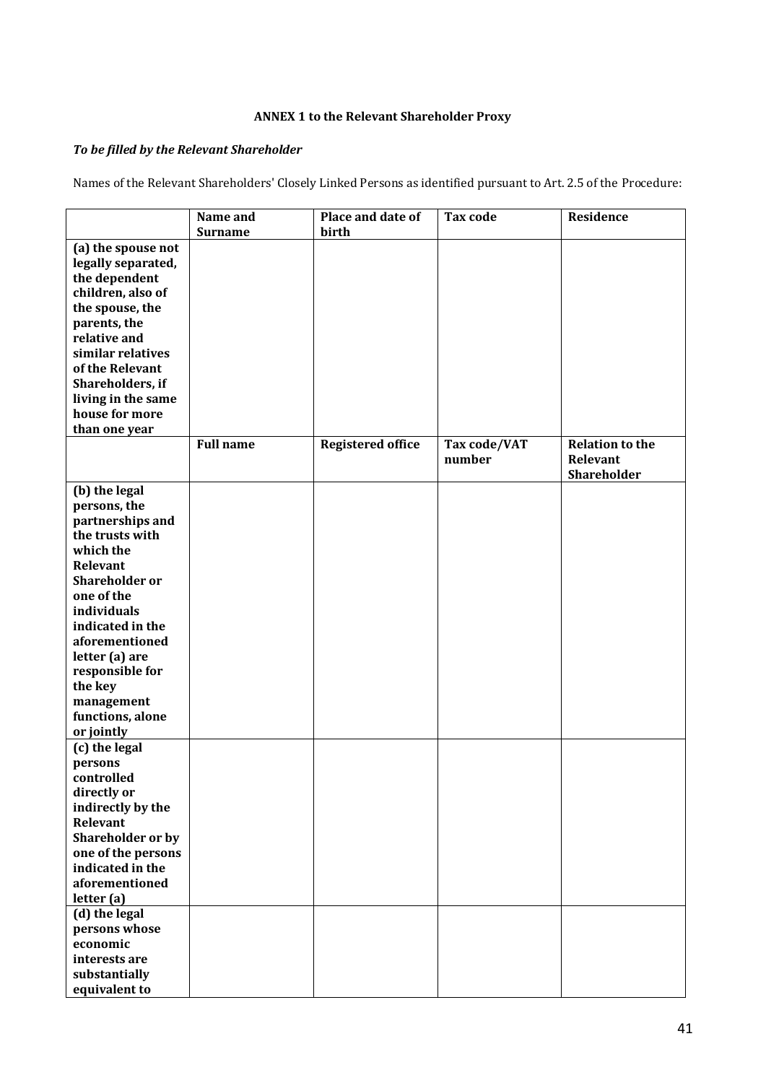# **ANNEX 1 to the Relevant Shareholder Proxy**

## *To be filled by the Relevant Shareholder*

Names of the Relevant Shareholders' Closely Linked Persons as identified pursuant to Art. 2.5 of the Procedure:

|                          | Name and         | Place and date of        | Tax code     | Residence              |
|--------------------------|------------------|--------------------------|--------------|------------------------|
| (a) the spouse not       | <b>Surname</b>   | birth                    |              |                        |
| legally separated,       |                  |                          |              |                        |
| the dependent            |                  |                          |              |                        |
| children, also of        |                  |                          |              |                        |
| the spouse, the          |                  |                          |              |                        |
| parents, the             |                  |                          |              |                        |
| relative and             |                  |                          |              |                        |
| similar relatives        |                  |                          |              |                        |
| of the Relevant          |                  |                          |              |                        |
| Shareholders, if         |                  |                          |              |                        |
| living in the same       |                  |                          |              |                        |
| house for more           |                  |                          |              |                        |
| than one year            |                  |                          |              |                        |
|                          | <b>Full name</b> | <b>Registered office</b> | Tax code/VAT | <b>Relation to the</b> |
|                          |                  |                          | number       | Relevant               |
|                          |                  |                          |              | Shareholder            |
| (b) the legal            |                  |                          |              |                        |
| persons, the             |                  |                          |              |                        |
| partnerships and         |                  |                          |              |                        |
| the trusts with          |                  |                          |              |                        |
| which the                |                  |                          |              |                        |
| Relevant                 |                  |                          |              |                        |
| Shareholder or           |                  |                          |              |                        |
| one of the               |                  |                          |              |                        |
| individuals              |                  |                          |              |                        |
| indicated in the         |                  |                          |              |                        |
| aforementioned           |                  |                          |              |                        |
| letter (a) are           |                  |                          |              |                        |
| responsible for          |                  |                          |              |                        |
| the key                  |                  |                          |              |                        |
| management               |                  |                          |              |                        |
| functions, alone         |                  |                          |              |                        |
| or jointly               |                  |                          |              |                        |
| (c) the legal            |                  |                          |              |                        |
| persons                  |                  |                          |              |                        |
| controlled               |                  |                          |              |                        |
| directly or              |                  |                          |              |                        |
| indirectly by the        |                  |                          |              |                        |
| <b>Relevant</b>          |                  |                          |              |                        |
| <b>Shareholder or by</b> |                  |                          |              |                        |
| one of the persons       |                  |                          |              |                        |
| indicated in the         |                  |                          |              |                        |
| aforementioned           |                  |                          |              |                        |
| letter (a)               |                  |                          |              |                        |
| (d) the legal            |                  |                          |              |                        |
| persons whose            |                  |                          |              |                        |
| economic                 |                  |                          |              |                        |
| interests are            |                  |                          |              |                        |
| substantially            |                  |                          |              |                        |
| equivalent to            |                  |                          |              |                        |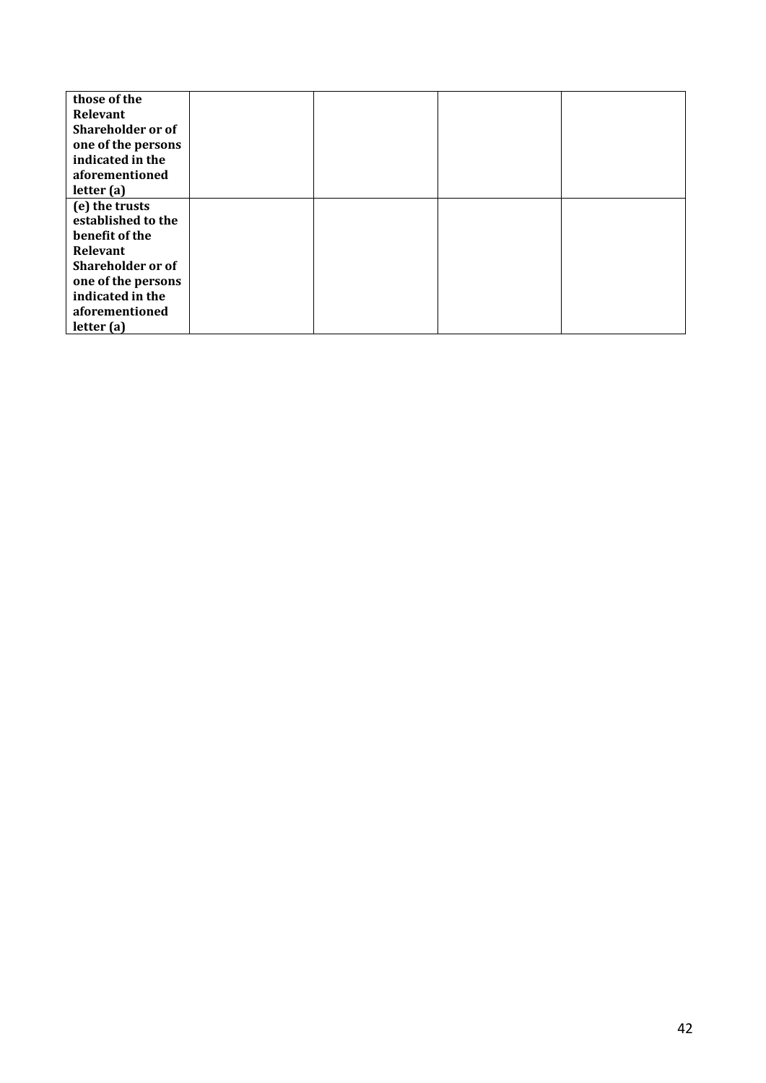| those of the             |  |  |
|--------------------------|--|--|
| Relevant                 |  |  |
| <b>Shareholder or of</b> |  |  |
| one of the persons       |  |  |
| indicated in the         |  |  |
| aforementioned           |  |  |
| letter(a)                |  |  |
| (e) the trusts           |  |  |
| established to the       |  |  |
| benefit of the           |  |  |
| Relevant                 |  |  |
| Shareholder or of        |  |  |
| one of the persons       |  |  |
| indicated in the         |  |  |
| aforementioned           |  |  |
| letter(a)                |  |  |